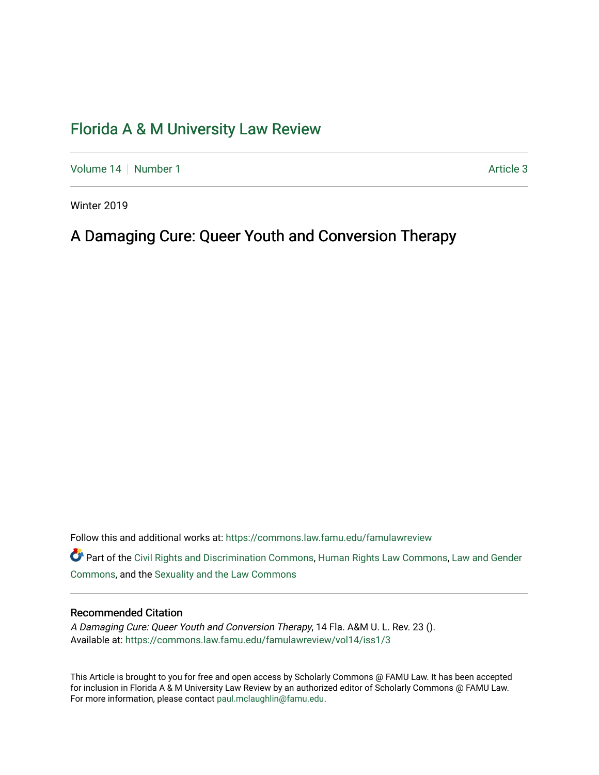# [Florida A & M University Law Review](https://commons.law.famu.edu/famulawreview)

[Volume 14](https://commons.law.famu.edu/famulawreview/vol14) | [Number 1](https://commons.law.famu.edu/famulawreview/vol14/iss1) Article 3

Winter 2019

# A Damaging Cure: Queer Youth and Conversion Therapy

Follow this and additional works at: [https://commons.law.famu.edu/famulawreview](https://commons.law.famu.edu/famulawreview?utm_source=commons.law.famu.edu%2Ffamulawreview%2Fvol14%2Fiss1%2F3&utm_medium=PDF&utm_campaign=PDFCoverPages) 

Part of the [Civil Rights and Discrimination Commons,](http://network.bepress.com/hgg/discipline/585?utm_source=commons.law.famu.edu%2Ffamulawreview%2Fvol14%2Fiss1%2F3&utm_medium=PDF&utm_campaign=PDFCoverPages) [Human Rights Law Commons,](http://network.bepress.com/hgg/discipline/847?utm_source=commons.law.famu.edu%2Ffamulawreview%2Fvol14%2Fiss1%2F3&utm_medium=PDF&utm_campaign=PDFCoverPages) [Law and Gender](http://network.bepress.com/hgg/discipline/1298?utm_source=commons.law.famu.edu%2Ffamulawreview%2Fvol14%2Fiss1%2F3&utm_medium=PDF&utm_campaign=PDFCoverPages)  [Commons](http://network.bepress.com/hgg/discipline/1298?utm_source=commons.law.famu.edu%2Ffamulawreview%2Fvol14%2Fiss1%2F3&utm_medium=PDF&utm_campaign=PDFCoverPages), and the [Sexuality and the Law Commons](http://network.bepress.com/hgg/discipline/877?utm_source=commons.law.famu.edu%2Ffamulawreview%2Fvol14%2Fiss1%2F3&utm_medium=PDF&utm_campaign=PDFCoverPages)

# Recommended Citation

A Damaging Cure: Queer Youth and Conversion Therapy, 14 Fla. A&M U. L. Rev. 23 (). Available at: [https://commons.law.famu.edu/famulawreview/vol14/iss1/3](https://commons.law.famu.edu/famulawreview/vol14/iss1/3?utm_source=commons.law.famu.edu%2Ffamulawreview%2Fvol14%2Fiss1%2F3&utm_medium=PDF&utm_campaign=PDFCoverPages)

This Article is brought to you for free and open access by Scholarly Commons @ FAMU Law. It has been accepted for inclusion in Florida A & M University Law Review by an authorized editor of Scholarly Commons @ FAMU Law. For more information, please contact [paul.mclaughlin@famu.edu](mailto:paul.mclaughlin@famu.edu).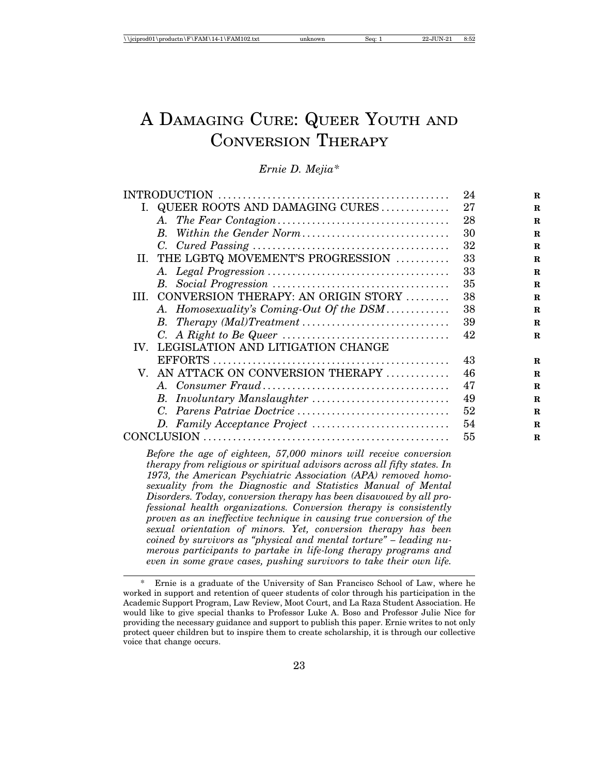# A DAMAGING CURE: QUEER YOUTH AND CONVERSION THERAPY

# *Ernie D. Mejia\**

|                           |                                          | 24 | R           |
|---------------------------|------------------------------------------|----|-------------|
|                           | I. QUEER ROOTS AND DAMAGING CURES        | 27 | R           |
|                           |                                          | 28 | $\mathbf R$ |
|                           | $B_{\cdot}$                              | 30 | $\mathbf R$ |
|                           |                                          | 32 | $\mathbf R$ |
|                           | II. THE LGBTQ MOVEMENT'S PROGRESSION     | 33 | $\mathbf R$ |
|                           |                                          | 33 | $\mathbf R$ |
|                           |                                          | 35 | $\mathbf R$ |
|                           | III. CONVERSION THERAPY: AN ORIGIN STORY | 38 | $\mathbf R$ |
|                           | A. Homosexuality's Coming-Out Of the DSM | 38 | $\mathbf R$ |
|                           |                                          | 39 | $\mathbf R$ |
|                           |                                          | 42 | $\mathbf R$ |
|                           | IV. LEGISLATION AND LITIGATION CHANGE    |    |             |
|                           |                                          | 43 | $\mathbf R$ |
|                           | V. AN ATTACK ON CONVERSION THERAPY       | 46 | R           |
|                           |                                          | 47 | $\mathbf R$ |
|                           |                                          | 49 | $\mathbf R$ |
|                           |                                          | 52 | $\mathbf R$ |
|                           |                                          | 54 | $\mathbf R$ |
| $CONCLUSION \dots 111111$ |                                          | 55 | $\mathbf R$ |
|                           |                                          |    |             |

*Before the age of eighteen, 57,000 minors will receive conversion therapy from religious or spiritual advisors across all fifty states. In 1973, the American Psychiatric Association (APA) removed homosexuality from the Diagnostic and Statistics Manual of Mental Disorders. Today, conversion therapy has been disavowed by all professional health organizations. Conversion therapy is consistently proven as an ineffective technique in causing true conversion of the sexual orientation of minors. Yet, conversion therapy has been coined by survivors as "physical and mental torture" – leading numerous participants to partake in life-long therapy programs and even in some grave cases, pushing survivors to take their own life.*

Ernie is a graduate of the University of San Francisco School of Law, where he worked in support and retention of queer students of color through his participation in the Academic Support Program, Law Review, Moot Court, and La Raza Student Association. He would like to give special thanks to Professor Luke A. Boso and Professor Julie Nice for providing the necessary guidance and support to publish this paper. Ernie writes to not only protect queer children but to inspire them to create scholarship, it is through our collective voice that change occurs.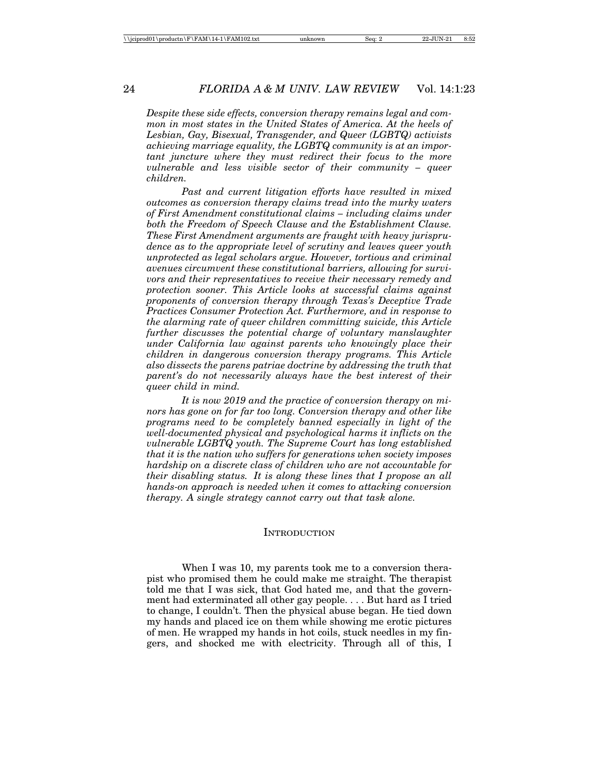*Despite these side effects, conversion therapy remains legal and common in most states in the United States of America. At the heels of Lesbian, Gay, Bisexual, Transgender, and Queer (LGBTQ) activists achieving marriage equality, the LGBTQ community is at an important juncture where they must redirect their focus to the more vulnerable and less visible sector of their community – queer children.*

*Past and current litigation efforts have resulted in mixed outcomes as conversion therapy claims tread into the murky waters of First Amendment constitutional claims – including claims under both the Freedom of Speech Clause and the Establishment Clause. These First Amendment arguments are fraught with heavy jurisprudence as to the appropriate level of scrutiny and leaves queer youth unprotected as legal scholars argue. However, tortious and criminal avenues circumvent these constitutional barriers, allowing for survivors and their representatives to receive their necessary remedy and protection sooner. This Article looks at successful claims against proponents of conversion therapy through Texas's Deceptive Trade Practices Consumer Protection Act. Furthermore, and in response to the alarming rate of queer children committing suicide, this Article further discusses the potential charge of voluntary manslaughter under California law against parents who knowingly place their children in dangerous conversion therapy programs. This Article also dissects the parens patriae doctrine by addressing the truth that parent's do not necessarily always have the best interest of their queer child in mind.*

*It is now 2019 and the practice of conversion therapy on minors has gone on for far too long. Conversion therapy and other like programs need to be completely banned especially in light of the well-documented physical and psychological harms it inflicts on the vulnerable LGBTQ youth. The Supreme Court has long established that it is the nation who suffers for generations when society imposes hardship on a discrete class of children who are not accountable for their disabling status. It is along these lines that I propose an all hands-on approach is needed when it comes to attacking conversion therapy. A single strategy cannot carry out that task alone.*

#### **INTRODUCTION**

When I was 10, my parents took me to a conversion therapist who promised them he could make me straight. The therapist told me that I was sick, that God hated me, and that the government had exterminated all other gay people. . . . But hard as I tried to change, I couldn't. Then the physical abuse began. He tied down my hands and placed ice on them while showing me erotic pictures of men. He wrapped my hands in hot coils, stuck needles in my fingers, and shocked me with electricity. Through all of this, I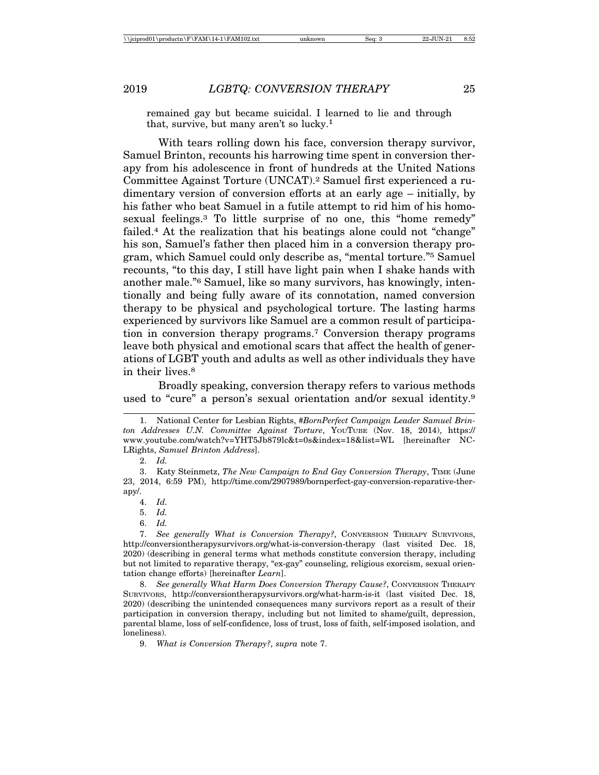remained gay but became suicidal. I learned to lie and through that, survive, but many aren't so lucky.1

With tears rolling down his face, conversion therapy survivor, Samuel Brinton, recounts his harrowing time spent in conversion therapy from his adolescence in front of hundreds at the United Nations Committee Against Torture (UNCAT).2 Samuel first experienced a rudimentary version of conversion efforts at an early age – initially, by his father who beat Samuel in a futile attempt to rid him of his homosexual feelings.3 To little surprise of no one, this "home remedy" failed.<sup>4</sup> At the realization that his beatings alone could not "change" his son, Samuel's father then placed him in a conversion therapy program, which Samuel could only describe as, "mental torture."5 Samuel recounts, "to this day, I still have light pain when I shake hands with another male."6 Samuel, like so many survivors, has knowingly, intentionally and being fully aware of its connotation, named conversion therapy to be physical and psychological torture. The lasting harms experienced by survivors like Samuel are a common result of participation in conversion therapy programs.7 Conversion therapy programs leave both physical and emotional scars that affect the health of generations of LGBT youth and adults as well as other individuals they have in their lives.<sup>8</sup>

Broadly speaking, conversion therapy refers to various methods used to "cure" a person's sexual orientation and/or sexual identity.<sup>9</sup>

4. *Id.*

<sup>1.</sup> National Center for Lesbian Rights, *#BornPerfect Campaign Leader Samuel Brinton Addresses U.N. Committee Against Torture*, YOUTUBE (Nov. 18, 2014), https:// www.youtube.com/watch?v=YHT5Jb879lc&t=0s&index=18&list=WL [hereinafter NC-LRights, *Samuel Brinton Address*].

<sup>2.</sup> *Id.*

<sup>3.</sup> Katy Steinmetz, *The New Campaign to End Gay Conversion Therapy*, TIME (June 23, 2014, 6:59 PM), http://time.com/2907989/bornperfect-gay-conversion-reparative-therapy/.

<sup>5.</sup> *Id.*

<sup>6.</sup> *Id.*

<sup>7.</sup> *See generally What is Conversion Therapy?*, CONVERSION THERAPY SURVIVORS, http://conversiontherapysurvivors.org/what-is-conversion-therapy (last visited Dec. 18, 2020) (describing in general terms what methods constitute conversion therapy, including but not limited to reparative therapy, "ex-gay" counseling, religious exorcism, sexual orientation change efforts) [hereinafter *Learn*].

<sup>8.</sup> *See generally What Harm Does Conversion Therapy Cause?*, CONVERSION THERAPY SURVIVORS, http://conversiontherapysurvivors.org/what-harm-is-it (last visited Dec. 18, 2020) (describing the unintended consequences many survivors report as a result of their participation in conversion therapy, including but not limited to shame/guilt, depression, parental blame, loss of self-confidence, loss of trust, loss of faith, self-imposed isolation, and loneliness).

<sup>9.</sup> *What is Conversion Therapy?*, *supra* note 7.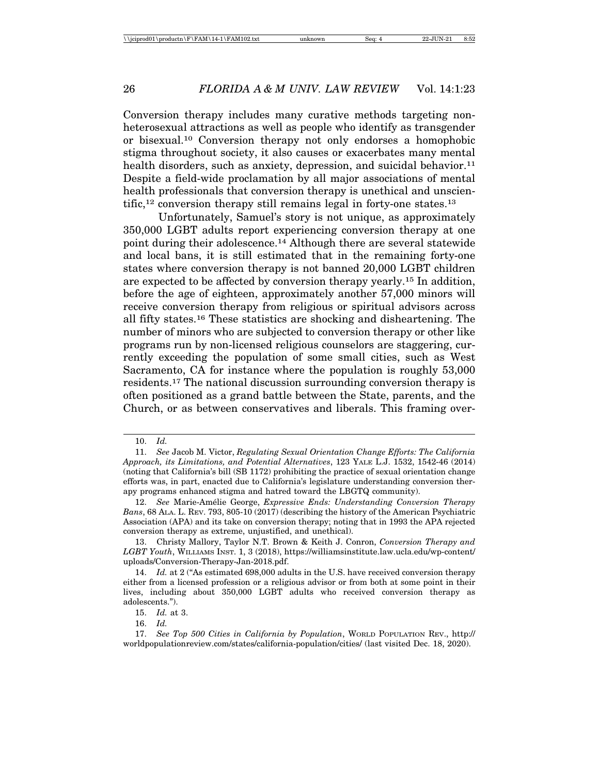Conversion therapy includes many curative methods targeting nonheterosexual attractions as well as people who identify as transgender or bisexual.10 Conversion therapy not only endorses a homophobic stigma throughout society, it also causes or exacerbates many mental health disorders, such as anxiety, depression, and suicidal behavior.<sup>11</sup> Despite a field-wide proclamation by all major associations of mental health professionals that conversion therapy is unethical and unscien $t$ ific,<sup>12</sup> conversion therapy still remains legal in forty-one states.<sup>13</sup>

Unfortunately, Samuel's story is not unique, as approximately 350,000 LGBT adults report experiencing conversion therapy at one point during their adolescence.14 Although there are several statewide and local bans, it is still estimated that in the remaining forty-one states where conversion therapy is not banned 20,000 LGBT children are expected to be affected by conversion therapy yearly.15 In addition, before the age of eighteen, approximately another 57,000 minors will receive conversion therapy from religious or spiritual advisors across all fifty states.16 These statistics are shocking and disheartening. The number of minors who are subjected to conversion therapy or other like programs run by non-licensed religious counselors are staggering, currently exceeding the population of some small cities, such as West Sacramento, CA for instance where the population is roughly 53,000 residents.17 The national discussion surrounding conversion therapy is often positioned as a grand battle between the State, parents, and the Church, or as between conservatives and liberals. This framing over-

<sup>10.</sup> *Id.*

<sup>11.</sup> *See* Jacob M. Victor, *Regulating Sexual Orientation Change Efforts: The California Approach, its Limitations, and Potential Alternatives*, 123 YALE L.J. 1532, 1542-46 (2014) (noting that California's bill (SB 1172) prohibiting the practice of sexual orientation change efforts was, in part, enacted due to California's legislature understanding conversion therapy programs enhanced stigma and hatred toward the LBGTQ community).

<sup>12.</sup> *See* Marie-Am´elie George, *Expressive Ends: Understanding Conversion Therapy Bans*, 68 ALA. L. REV. 793, 805-10 (2017) (describing the history of the American Psychiatric Association (APA) and its take on conversion therapy; noting that in 1993 the APA rejected conversion therapy as extreme, unjustified, and unethical).

<sup>13.</sup> Christy Mallory, Taylor N.T. Brown & Keith J. Conron, *Conversion Therapy and LGBT Youth*, WILLIAMS INST. 1, 3 (2018), https://williamsinstitute.law.ucla.edu/wp-content/ uploads/Conversion-Therapy-Jan-2018.pdf.

<sup>14.</sup> *Id.* at 2 ("As estimated 698,000 adults in the U.S. have received conversion therapy either from a licensed profession or a religious advisor or from both at some point in their lives, including about 350,000 LGBT adults who received conversion therapy as adolescents.").

<sup>15.</sup> *Id.* at 3.

<sup>16.</sup> *Id.*

<sup>17.</sup> *See Top 500 Cities in California by Population*, WORLD POPULATION REV., http:// worldpopulationreview.com/states/california-population/cities/ (last visited Dec. 18, 2020).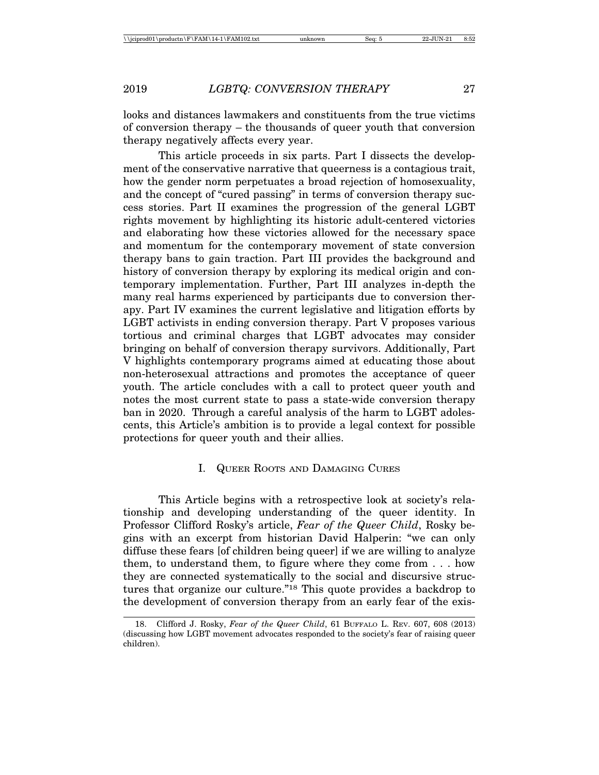looks and distances lawmakers and constituents from the true victims of conversion therapy – the thousands of queer youth that conversion therapy negatively affects every year.

This article proceeds in six parts. Part I dissects the development of the conservative narrative that queerness is a contagious trait, how the gender norm perpetuates a broad rejection of homosexuality, and the concept of "cured passing" in terms of conversion therapy success stories. Part II examines the progression of the general LGBT rights movement by highlighting its historic adult-centered victories and elaborating how these victories allowed for the necessary space and momentum for the contemporary movement of state conversion therapy bans to gain traction. Part III provides the background and history of conversion therapy by exploring its medical origin and contemporary implementation. Further, Part III analyzes in-depth the many real harms experienced by participants due to conversion therapy. Part IV examines the current legislative and litigation efforts by LGBT activists in ending conversion therapy. Part V proposes various tortious and criminal charges that LGBT advocates may consider bringing on behalf of conversion therapy survivors. Additionally, Part V highlights contemporary programs aimed at educating those about non-heterosexual attractions and promotes the acceptance of queer youth. The article concludes with a call to protect queer youth and notes the most current state to pass a state-wide conversion therapy ban in 2020. Through a careful analysis of the harm to LGBT adolescents, this Article's ambition is to provide a legal context for possible protections for queer youth and their allies.

# I. QUEER ROOTS AND DAMAGING CURES

This Article begins with a retrospective look at society's relationship and developing understanding of the queer identity. In Professor Clifford Rosky's article, *Fear of the Queer Child*, Rosky begins with an excerpt from historian David Halperin: "we can only diffuse these fears [of children being queer] if we are willing to analyze them, to understand them, to figure where they come from . . . how they are connected systematically to the social and discursive structures that organize our culture."18 This quote provides a backdrop to the development of conversion therapy from an early fear of the exis-

<sup>18.</sup> Clifford J. Rosky, *Fear of the Queer Child*, 61 BUFFALO L. REV. 607, 608 (2013) (discussing how LGBT movement advocates responded to the society's fear of raising queer children).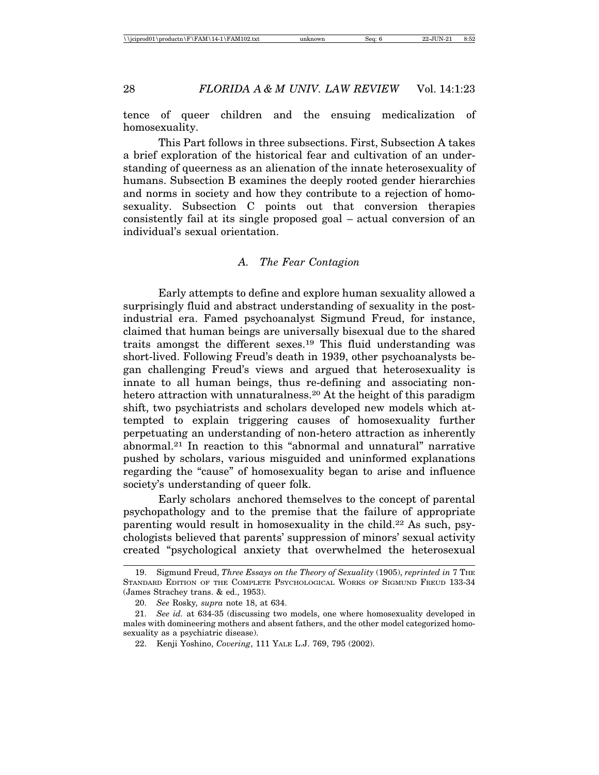tence of queer children and the ensuing medicalization of homosexuality.

This Part follows in three subsections. First, Subsection A takes a brief exploration of the historical fear and cultivation of an understanding of queerness as an alienation of the innate heterosexuality of humans. Subsection B examines the deeply rooted gender hierarchies and norms in society and how they contribute to a rejection of homosexuality. Subsection C points out that conversion therapies consistently fail at its single proposed goal – actual conversion of an individual's sexual orientation.

# *A. The Fear Contagion*

Early attempts to define and explore human sexuality allowed a surprisingly fluid and abstract understanding of sexuality in the postindustrial era. Famed psychoanalyst Sigmund Freud, for instance, claimed that human beings are universally bisexual due to the shared traits amongst the different sexes.19 This fluid understanding was short-lived. Following Freud's death in 1939, other psychoanalysts began challenging Freud's views and argued that heterosexuality is innate to all human beings, thus re-defining and associating nonhetero attraction with unnaturalness.20 At the height of this paradigm shift, two psychiatrists and scholars developed new models which attempted to explain triggering causes of homosexuality further perpetuating an understanding of non-hetero attraction as inherently abnormal.21 In reaction to this "abnormal and unnatural" narrative pushed by scholars, various misguided and uninformed explanations regarding the "cause" of homosexuality began to arise and influence society's understanding of queer folk.

Early scholars anchored themselves to the concept of parental psychopathology and to the premise that the failure of appropriate parenting would result in homosexuality in the child.22 As such, psychologists believed that parents' suppression of minors' sexual activity created "psychological anxiety that overwhelmed the heterosexual

<sup>19.</sup> Sigmund Freud, *Three Essays on the Theory of Sexuality* (1905), *reprinted in* 7 THE STANDARD EDITION OF THE COMPLETE PSYCHOLOGICAL WORKS OF SIGMUND FREUD 133-34 (James Strachey trans. & ed., 1953).

<sup>20.</sup> *See* Rosky*, supra* note 18, at 634.

<sup>21.</sup> *See id.* at 634-35 (discussing two models, one where homosexuality developed in males with domineering mothers and absent fathers, and the other model categorized homosexuality as a psychiatric disease).

<sup>22.</sup> Kenji Yoshino, *Covering*, 111 YALE L.J. 769, 795 (2002).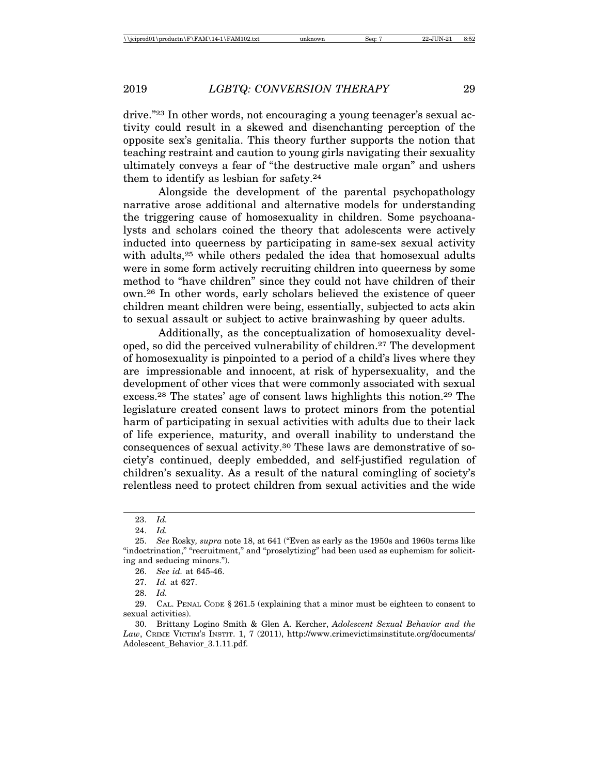drive."23 In other words, not encouraging a young teenager's sexual activity could result in a skewed and disenchanting perception of the opposite sex's genitalia. This theory further supports the notion that teaching restraint and caution to young girls navigating their sexuality ultimately conveys a fear of "the destructive male organ" and ushers them to identify as lesbian for safety.24

Alongside the development of the parental psychopathology narrative arose additional and alternative models for understanding the triggering cause of homosexuality in children. Some psychoanalysts and scholars coined the theory that adolescents were actively inducted into queerness by participating in same-sex sexual activity with adults,<sup>25</sup> while others pedaled the idea that homosexual adults were in some form actively recruiting children into queerness by some method to "have children" since they could not have children of their own.26 In other words, early scholars believed the existence of queer children meant children were being, essentially, subjected to acts akin to sexual assault or subject to active brainwashing by queer adults.

Additionally, as the conceptualization of homosexuality developed, so did the perceived vulnerability of children.27 The development of homosexuality is pinpointed to a period of a child's lives where they are impressionable and innocent, at risk of hypersexuality, and the development of other vices that were commonly associated with sexual excess.28 The states' age of consent laws highlights this notion.29 The legislature created consent laws to protect minors from the potential harm of participating in sexual activities with adults due to their lack of life experience, maturity, and overall inability to understand the consequences of sexual activity.30 These laws are demonstrative of society's continued, deeply embedded, and self-justified regulation of children's sexuality. As a result of the natural comingling of society's relentless need to protect children from sexual activities and the wide

<sup>23.</sup> *Id.*

<sup>24.</sup> *Id.*

<sup>25.</sup> *See* Rosky*, supra* note 18, at 641 ("Even as early as the 1950s and 1960s terms like "indoctrination," "recruitment," and "proselytizing" had been used as euphemism for soliciting and seducing minors.").

<sup>26.</sup> *See id.* at 645-46.

<sup>27.</sup> *Id.* at 627.

<sup>28.</sup> *Id.*

<sup>29.</sup> CAL. PENAL CODE § 261.5 (explaining that a minor must be eighteen to consent to sexual activities).

<sup>30.</sup> Brittany Logino Smith & Glen A. Kercher, *Adolescent Sexual Behavior and the Law*, CRIME VICTIM'S INSTIT. 1, 7 (2011), http://www.crimevictimsinstitute.org/documents/ Adolescent\_Behavior\_3.1.11.pdf.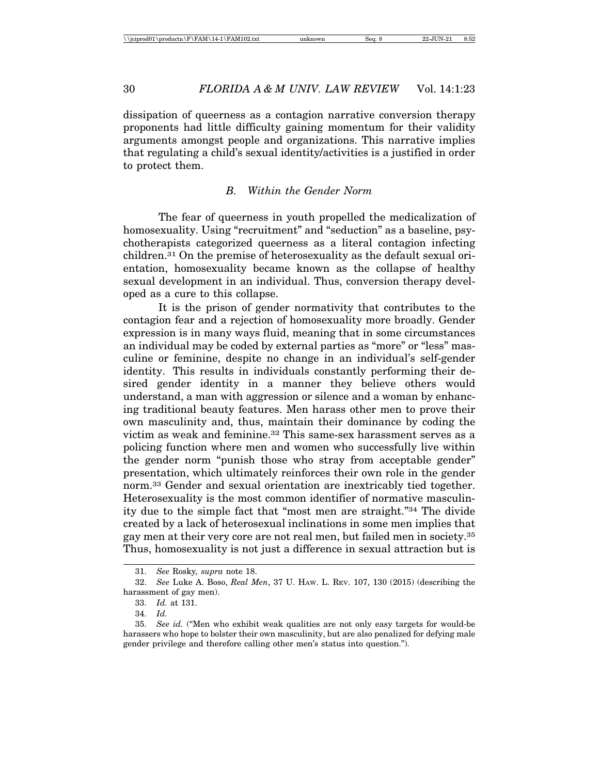dissipation of queerness as a contagion narrative conversion therapy proponents had little difficulty gaining momentum for their validity arguments amongst people and organizations. This narrative implies that regulating a child's sexual identity/activities is a justified in order to protect them.

#### *B. Within the Gender Norm*

The fear of queerness in youth propelled the medicalization of homosexuality. Using "recruitment" and "seduction" as a baseline, psychotherapists categorized queerness as a literal contagion infecting children.31 On the premise of heterosexuality as the default sexual orientation, homosexuality became known as the collapse of healthy sexual development in an individual. Thus, conversion therapy developed as a cure to this collapse.

It is the prison of gender normativity that contributes to the contagion fear and a rejection of homosexuality more broadly. Gender expression is in many ways fluid, meaning that in some circumstances an individual may be coded by external parties as "more" or "less" masculine or feminine, despite no change in an individual's self-gender identity. This results in individuals constantly performing their desired gender identity in a manner they believe others would understand, a man with aggression or silence and a woman by enhancing traditional beauty features. Men harass other men to prove their own masculinity and, thus, maintain their dominance by coding the victim as weak and feminine.32 This same-sex harassment serves as a policing function where men and women who successfully live within the gender norm "punish those who stray from acceptable gender" presentation, which ultimately reinforces their own role in the gender norm.33 Gender and sexual orientation are inextricably tied together. Heterosexuality is the most common identifier of normative masculinity due to the simple fact that "most men are straight."34 The divide created by a lack of heterosexual inclinations in some men implies that gay men at their very core are not real men, but failed men in society.35 Thus, homosexuality is not just a difference in sexual attraction but is

<sup>31.</sup> *See* Rosky*, supra* note 18.

<sup>32.</sup> *See* Luke A. Boso, *Real Men*, 37 U. HAW. L. REV. 107, 130 (2015) (describing the harassment of gay men).

<sup>33.</sup> *Id.* at 131.

<sup>34.</sup> *Id.*

<sup>35.</sup> *See id.* ("Men who exhibit weak qualities are not only easy targets for would-be harassers who hope to bolster their own masculinity, but are also penalized for defying male gender privilege and therefore calling other men's status into question.").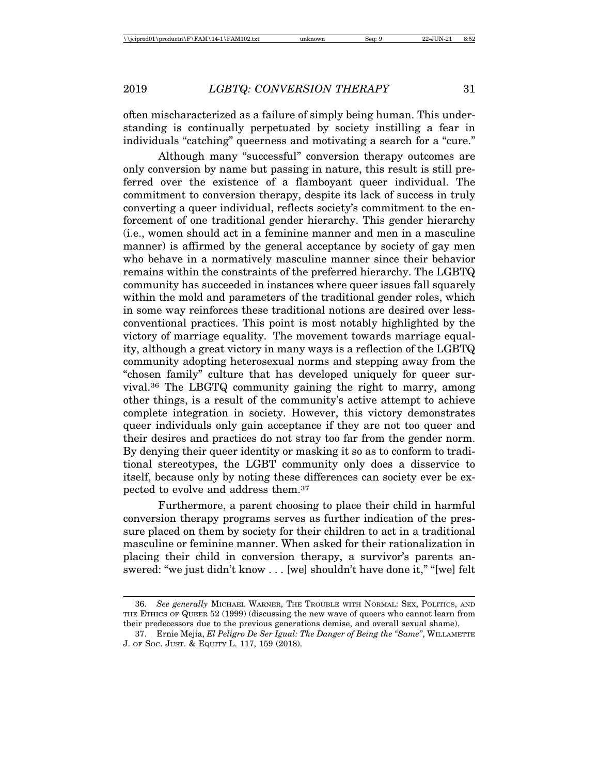often mischaracterized as a failure of simply being human. This understanding is continually perpetuated by society instilling a fear in individuals "catching" queerness and motivating a search for a "cure."

Although many "successful" conversion therapy outcomes are only conversion by name but passing in nature, this result is still preferred over the existence of a flamboyant queer individual. The commitment to conversion therapy, despite its lack of success in truly converting a queer individual, reflects society's commitment to the enforcement of one traditional gender hierarchy. This gender hierarchy (i.e., women should act in a feminine manner and men in a masculine manner) is affirmed by the general acceptance by society of gay men who behave in a normatively masculine manner since their behavior remains within the constraints of the preferred hierarchy. The LGBTQ community has succeeded in instances where queer issues fall squarely within the mold and parameters of the traditional gender roles, which in some way reinforces these traditional notions are desired over lessconventional practices. This point is most notably highlighted by the victory of marriage equality. The movement towards marriage equality, although a great victory in many ways is a reflection of the LGBTQ community adopting heterosexual norms and stepping away from the "chosen family" culture that has developed uniquely for queer survival.36 The LBGTQ community gaining the right to marry, among other things, is a result of the community's active attempt to achieve complete integration in society. However, this victory demonstrates queer individuals only gain acceptance if they are not too queer and their desires and practices do not stray too far from the gender norm. By denying their queer identity or masking it so as to conform to traditional stereotypes, the LGBT community only does a disservice to itself, because only by noting these differences can society ever be expected to evolve and address them.37

Furthermore, a parent choosing to place their child in harmful conversion therapy programs serves as further indication of the pressure placed on them by society for their children to act in a traditional masculine or feminine manner. When asked for their rationalization in placing their child in conversion therapy, a survivor's parents answered: "we just didn't know . . . [we] shouldn't have done it," "[we] felt

<sup>36.</sup> *See generally* MICHAEL WARNER, THE TROUBLE WITH NORMAL: SEX, POLITICS, AND THE ETHICS OF QUEER 52 (1999) (discussing the new wave of queers who cannot learn from their predecessors due to the previous generations demise, and overall sexual shame).

<sup>37.</sup> Ernie Mejia, *El Peligro De Ser Igual: The Danger of Being the "Same"*, WILLAMETTE J. OF SOC. JUST. & EQUITY L. 117, 159 (2018).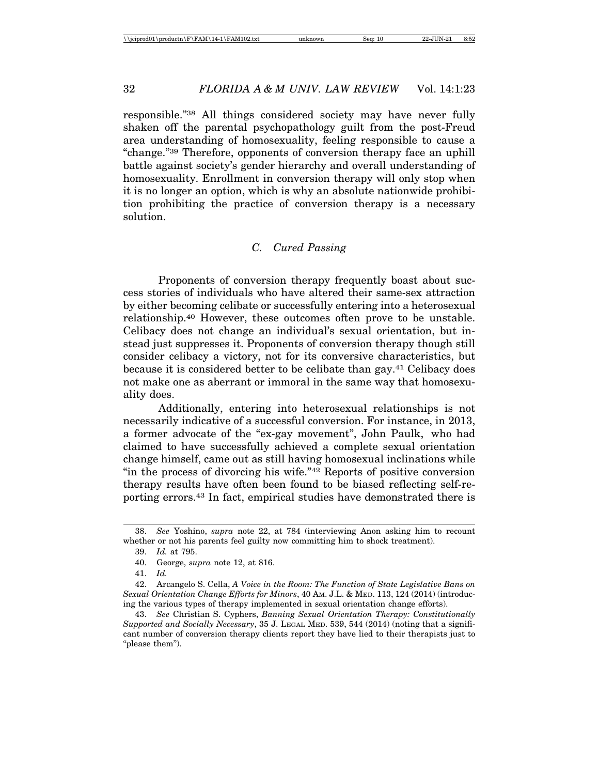responsible."38 All things considered society may have never fully shaken off the parental psychopathology guilt from the post-Freud area understanding of homosexuality, feeling responsible to cause a "change."39 Therefore, opponents of conversion therapy face an uphill battle against society's gender hierarchy and overall understanding of homosexuality. Enrollment in conversion therapy will only stop when it is no longer an option, which is why an absolute nationwide prohibition prohibiting the practice of conversion therapy is a necessary solution.

# *C. Cured Passing*

Proponents of conversion therapy frequently boast about success stories of individuals who have altered their same-sex attraction by either becoming celibate or successfully entering into a heterosexual relationship.40 However, these outcomes often prove to be unstable. Celibacy does not change an individual's sexual orientation, but instead just suppresses it. Proponents of conversion therapy though still consider celibacy a victory, not for its conversive characteristics, but because it is considered better to be celibate than gay.41 Celibacy does not make one as aberrant or immoral in the same way that homosexuality does.

Additionally, entering into heterosexual relationships is not necessarily indicative of a successful conversion. For instance, in 2013, a former advocate of the "ex-gay movement", John Paulk, who had claimed to have successfully achieved a complete sexual orientation change himself, came out as still having homosexual inclinations while "in the process of divorcing his wife."42 Reports of positive conversion therapy results have often been found to be biased reflecting self-reporting errors.43 In fact, empirical studies have demonstrated there is

<sup>38.</sup> *See* Yoshino, *supra* note 22, at 784 (interviewing Anon asking him to recount whether or not his parents feel guilty now committing him to shock treatment).

<sup>39.</sup> *Id.* at 795.

<sup>40.</sup> George, *supra* note 12, at 816.

<sup>41.</sup> *Id.*

<sup>42.</sup> Arcangelo S. Cella, *A Voice in the Room: The Function of State Legislative Bans on Sexual Orientation Change Efforts for Minors*, 40 AM. J.L. & MED. 113, 124 (2014) (introducing the various types of therapy implemented in sexual orientation change efforts).

<sup>43.</sup> *See* Christian S. Cyphers, *Banning Sexual Orientation Therapy: Constitutionally Supported and Socially Necessary*, 35 J. LEGAL MED. 539, 544 (2014) (noting that a significant number of conversion therapy clients report they have lied to their therapists just to "please them").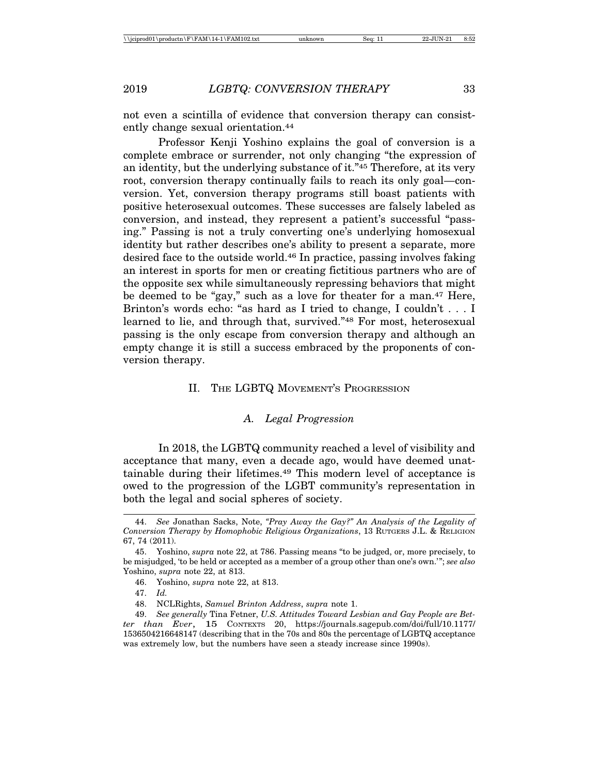not even a scintilla of evidence that conversion therapy can consistently change sexual orientation.44

Professor Kenji Yoshino explains the goal of conversion is a complete embrace or surrender, not only changing "the expression of an identity, but the underlying substance of it."45 Therefore, at its very root, conversion therapy continually fails to reach its only goal—conversion. Yet, conversion therapy programs still boast patients with positive heterosexual outcomes. These successes are falsely labeled as conversion, and instead, they represent a patient's successful "passing." Passing is not a truly converting one's underlying homosexual identity but rather describes one's ability to present a separate, more desired face to the outside world.46 In practice, passing involves faking an interest in sports for men or creating fictitious partners who are of the opposite sex while simultaneously repressing behaviors that might be deemed to be "gay," such as a love for theater for a man.47 Here, Brinton's words echo: "as hard as I tried to change, I couldn't . . . I learned to lie, and through that, survived."48 For most, heterosexual passing is the only escape from conversion therapy and although an empty change it is still a success embraced by the proponents of conversion therapy.

# II. THE LGBTQ MOVEMENT'S PROGRESSION

## *A. Legal Progression*

In 2018, the LGBTQ community reached a level of visibility and acceptance that many, even a decade ago, would have deemed unattainable during their lifetimes.49 This modern level of acceptance is owed to the progression of the LGBT community's representation in both the legal and social spheres of society.

<sup>44.</sup> *See* Jonathan Sacks, Note, *"Pray Away the Gay?" An Analysis of the Legality of Conversion Therapy by Homophobic Religious Organizations*, 13 RUTGERS J.L. & RELIGION 67, 74 (2011).

<sup>45.</sup> Yoshino, *supra* note 22, at 786. Passing means "to be judged, or, more precisely, to be misjudged, 'to be held or accepted as a member of a group other than one's own.'"; *see also* Yoshino, *supra* note 22, at 813.

<sup>46.</sup> Yoshino, *supra* note 22, at 813.

<sup>47.</sup> *Id.*

<sup>48.</sup> NCLRights, *Samuel Brinton Address*, *supra* note 1.

<sup>49.</sup> *See generally* Tina Fetner, *U.S. Attitudes Toward Lesbian and Gay People are Better than Ever*, 15 CONTEXTS 20, https://journals.sagepub.com/doi/full/10.1177/ 1536504216648147 (describing that in the 70s and 80s the percentage of LGBTQ acceptance was extremely low, but the numbers have seen a steady increase since 1990s).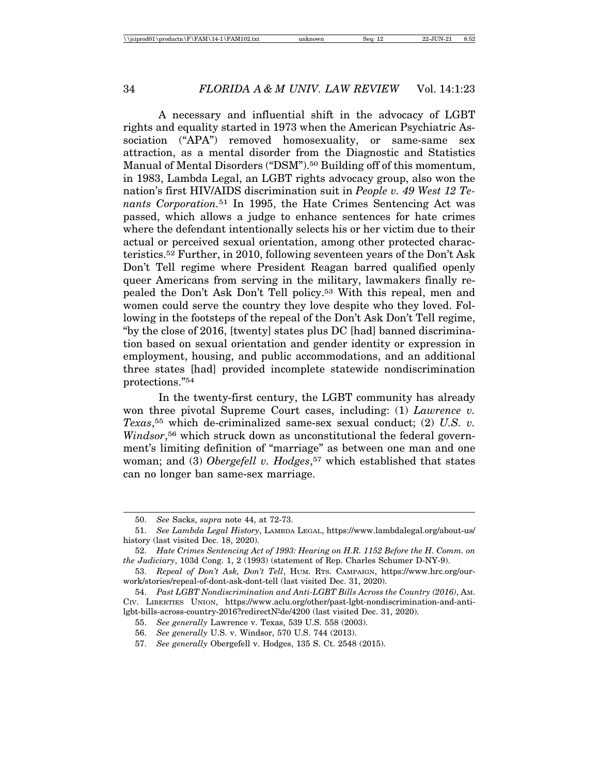A necessary and influential shift in the advocacy of LGBT rights and equality started in 1973 when the American Psychiatric Association ("APA") removed homosexuality, or same-same sex attraction, as a mental disorder from the Diagnostic and Statistics Manual of Mental Disorders ("DSM").<sup>50</sup> Building off of this momentum, in 1983, Lambda Legal, an LGBT rights advocacy group, also won the nation's first HIV/AIDS discrimination suit in *People v. 49 West 12 Tenants Corporation.*51 In 1995, the Hate Crimes Sentencing Act was passed, which allows a judge to enhance sentences for hate crimes where the defendant intentionally selects his or her victim due to their actual or perceived sexual orientation, among other protected characteristics.52 Further, in 2010, following seventeen years of the Don't Ask Don't Tell regime where President Reagan barred qualified openly queer Americans from serving in the military, lawmakers finally repealed the Don't Ask Don't Tell policy.53 With this repeal, men and women could serve the country they love despite who they loved. Following in the footsteps of the repeal of the Don't Ask Don't Tell regime, "by the close of 2016, [twenty] states plus DC [had] banned discrimination based on sexual orientation and gender identity or expression in employment, housing, and public accommodations, and an additional three states [had] provided incomplete statewide nondiscrimination protections."54

In the twenty-first century, the LGBT community has already won three pivotal Supreme Court cases, including: (1) *Lawrence v. Texas*,55 which de-criminalized same-sex sexual conduct; (2) *U.S. v. Windsor*<sup>56</sup> which struck down as unconstitutional the federal government's limiting definition of "marriage" as between one man and one woman; and (3) *Obergefell v. Hodges*<sup>57</sup> which established that states can no longer ban same-sex marriage.

<sup>50.</sup> *See* Sacks, *supra* note 44, at 72-73.

<sup>51.</sup> *See Lambda Legal History*, LAMBDA LEGAL, https://www.lambdalegal.org/about-us/ history (last visited Dec. 18, 2020).

<sup>52.</sup> *Hate Crimes Sentencing Act of 1993: Hearing on H.R. 1152 Before the H. Comm. on the Judiciary*, 103d Cong. 1, 2 (1993) (statement of Rep. Charles Schumer D-NY-9).

<sup>53.</sup> *Repeal of Don't Ask, Don't Tell*, HUM. RTS. CAMPAIGN, https://www.hrc.org/ourwork/stories/repeal-of-dont-ask-dont-tell (last visited Dec. 31, 2020).

<sup>54.</sup> *Past LGBT Nondiscrimination and Anti-LGBT Bills Across the Country (2016)*, AM. CIV. LIBERTIES UNION, https://www.aclu.org/other/past-lgbt-nondiscrimination-and-antilgbt-bills-across-country-2016?redirectN<sup>o</sup>de/4200 (last visited Dec. 31, 2020).

<sup>55.</sup> *See generally* Lawrence v. Texas, 539 U.S. 558 (2003).

<sup>56.</sup> *See generally* U.S. v. Windsor, 570 U.S. 744 (2013).

<sup>57.</sup> *See generally* Obergefell v. Hodges, 135 S. Ct. 2548 (2015).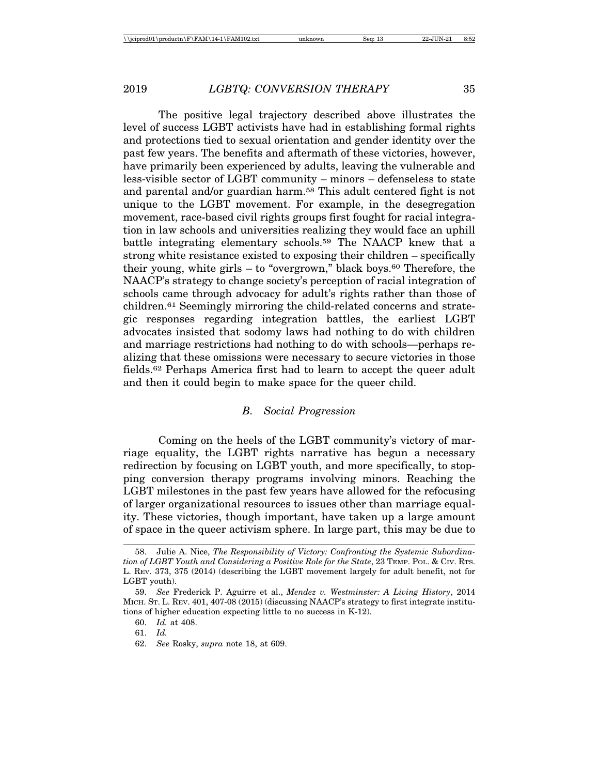The positive legal trajectory described above illustrates the level of success LGBT activists have had in establishing formal rights and protections tied to sexual orientation and gender identity over the past few years. The benefits and aftermath of these victories, however, have primarily been experienced by adults, leaving the vulnerable and less-visible sector of LGBT community – minors – defenseless to state and parental and/or guardian harm.58 This adult centered fight is not unique to the LGBT movement. For example, in the desegregation movement, race-based civil rights groups first fought for racial integration in law schools and universities realizing they would face an uphill battle integrating elementary schools.59 The NAACP knew that a strong white resistance existed to exposing their children – specifically their young, white girls  $-$  to "overgrown," black boys.<sup>60</sup> Therefore, the NAACP's strategy to change society's perception of racial integration of schools came through advocacy for adult's rights rather than those of children.61 Seemingly mirroring the child-related concerns and strategic responses regarding integration battles, the earliest LGBT advocates insisted that sodomy laws had nothing to do with children and marriage restrictions had nothing to do with schools—perhaps realizing that these omissions were necessary to secure victories in those fields.62 Perhaps America first had to learn to accept the queer adult and then it could begin to make space for the queer child.

# *B. Social Progression*

Coming on the heels of the LGBT community's victory of marriage equality, the LGBT rights narrative has begun a necessary redirection by focusing on LGBT youth, and more specifically, to stopping conversion therapy programs involving minors. Reaching the LGBT milestones in the past few years have allowed for the refocusing of larger organizational resources to issues other than marriage equality. These victories, though important, have taken up a large amount of space in the queer activism sphere. In large part, this may be due to

61. *Id.*

<sup>58.</sup> Julie A. Nice, *The Responsibility of Victory: Confronting the Systemic Subordination of LGBT Youth and Considering a Positive Role for the State*, 23 TEMP. POL. & CIV. RTS. L. REV. 373, 375 (2014) (describing the LGBT movement largely for adult benefit, not for LGBT youth).

<sup>59.</sup> *See* Frederick P. Aguirre et al., *Mendez v. Westminster: A Living History*, 2014 MICH. ST. L. REV. 401, 407-08 (2015) (discussing NAACP's strategy to first integrate institutions of higher education expecting little to no success in K-12).

<sup>60.</sup> *Id.* at 408.

<sup>62.</sup> *See* Rosky, *supra* note 18, at 609.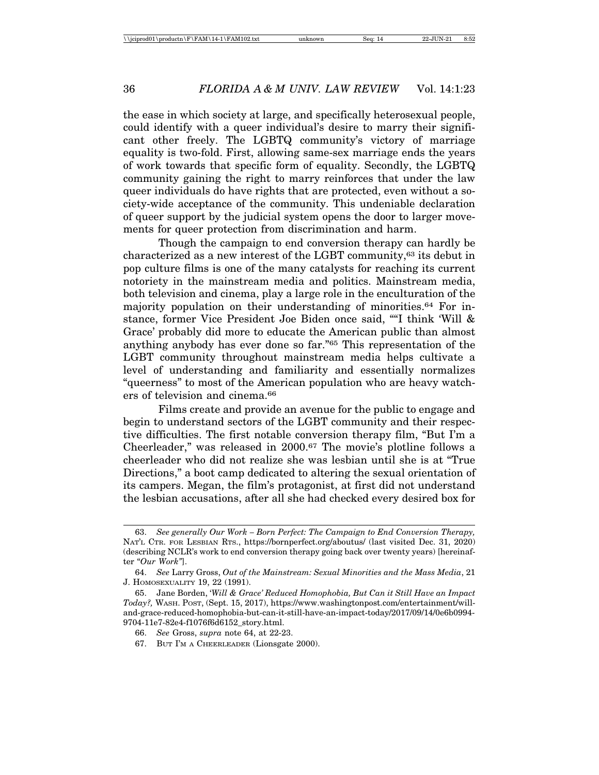the ease in which society at large, and specifically heterosexual people, could identify with a queer individual's desire to marry their significant other freely. The LGBTQ community's victory of marriage equality is two-fold. First, allowing same-sex marriage ends the years of work towards that specific form of equality. Secondly, the LGBTQ community gaining the right to marry reinforces that under the law queer individuals do have rights that are protected, even without a society-wide acceptance of the community. This undeniable declaration of queer support by the judicial system opens the door to larger movements for queer protection from discrimination and harm.

Though the campaign to end conversion therapy can hardly be characterized as a new interest of the LGBT community,63 its debut in pop culture films is one of the many catalysts for reaching its current notoriety in the mainstream media and politics. Mainstream media, both television and cinema, play a large role in the enculturation of the majority population on their understanding of minorities.64 For instance, former Vice President Joe Biden once said, ""I think 'Will & Grace' probably did more to educate the American public than almost anything anybody has ever done so far."65 This representation of the LGBT community throughout mainstream media helps cultivate a level of understanding and familiarity and essentially normalizes "queerness" to most of the American population who are heavy watchers of television and cinema.66

Films create and provide an avenue for the public to engage and begin to understand sectors of the LGBT community and their respective difficulties. The first notable conversion therapy film, "But I'm a Cheerleader," was released in 2000.67 The movie's plotline follows a cheerleader who did not realize she was lesbian until she is at "True Directions," a boot camp dedicated to altering the sexual orientation of its campers. Megan, the film's protagonist, at first did not understand the lesbian accusations, after all she had checked every desired box for

<sup>63.</sup> *See generally Our Work – Born Perfect: The Campaign to End Conversion Therapy,* NAT'L CTR. FOR LESBIAN RTS., https://bornperfect.org/aboutus/ (last visited Dec. 31, 2020) (describing NCLR's work to end conversion therapy going back over twenty years) [hereinafter "*Our Work"*].

<sup>64.</sup> *See* Larry Gross, *Out of the Mainstream: Sexual Minorities and the Mass Media*, 21 J. HOMOSEXUALITY 19, 22 (1991).

<sup>65.</sup> Jane Borden, '*Will & Grace' Reduced Homophobia, But Can it Still Have an Impact Today?,* WASH. POST, (Sept. 15, 2017), https://www.washingtonpost.com/entertainment/willand-grace-reduced-homophobia-but-can-it-still-have-an-impact-today/2017/09/14/0e6b0994- 9704-11e7-82e4-f1076f6d6152\_story.html.

<sup>66.</sup> *See* Gross, *supra* note 64, at 22-23.

<sup>67.</sup> BUT I'M A CHEERLEADER (Lionsgate 2000).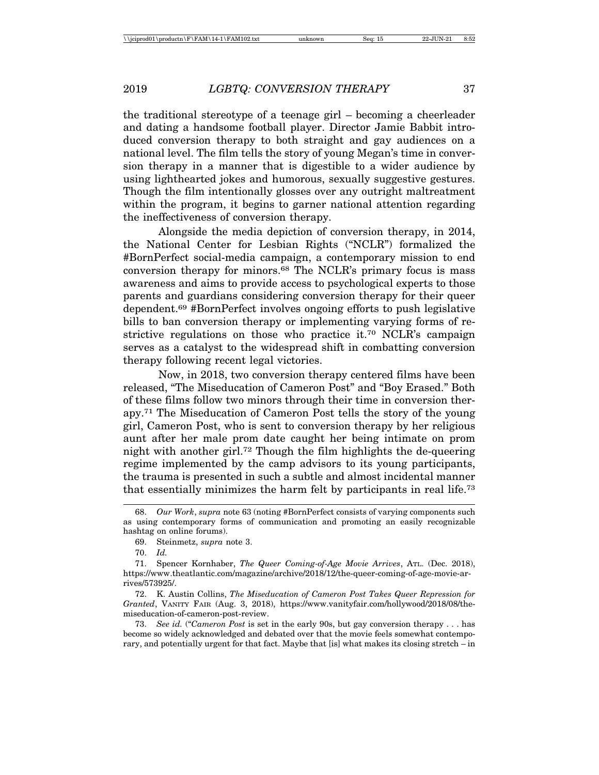the traditional stereotype of a teenage girl – becoming a cheerleader and dating a handsome football player. Director Jamie Babbit introduced conversion therapy to both straight and gay audiences on a national level. The film tells the story of young Megan's time in conversion therapy in a manner that is digestible to a wider audience by using lighthearted jokes and humorous, sexually suggestive gestures. Though the film intentionally glosses over any outright maltreatment within the program, it begins to garner national attention regarding the ineffectiveness of conversion therapy.

Alongside the media depiction of conversion therapy, in 2014, the National Center for Lesbian Rights ("NCLR") formalized the #BornPerfect social-media campaign, a contemporary mission to end conversion therapy for minors.68 The NCLR's primary focus is mass awareness and aims to provide access to psychological experts to those parents and guardians considering conversion therapy for their queer dependent.69 #BornPerfect involves ongoing efforts to push legislative bills to ban conversion therapy or implementing varying forms of restrictive regulations on those who practice it.70 NCLR's campaign serves as a catalyst to the widespread shift in combatting conversion therapy following recent legal victories.

Now, in 2018, two conversion therapy centered films have been released, "The Miseducation of Cameron Post" and "Boy Erased." Both of these films follow two minors through their time in conversion therapy.71 The Miseducation of Cameron Post tells the story of the young girl, Cameron Post, who is sent to conversion therapy by her religious aunt after her male prom date caught her being intimate on prom night with another girl.72 Though the film highlights the de-queering regime implemented by the camp advisors to its young participants, the trauma is presented in such a subtle and almost incidental manner that essentially minimizes the harm felt by participants in real life.73

<sup>68.</sup> *Our Work*, *supra* note 63 (noting #BornPerfect consists of varying components such as using contemporary forms of communication and promoting an easily recognizable hashtag on online forums).

<sup>69.</sup> Steinmetz, *supra* note 3.

<sup>70.</sup> *Id.*

<sup>71.</sup> Spencer Kornhaber, *The Queer Coming-of-Age Movie Arrives*, ATL. (Dec. 2018), https://www.theatlantic.com/magazine/archive/2018/12/the-queer-coming-of-age-movie-arrives/573925/.

<sup>72.</sup> K. Austin Collins, *The Miseducation of Cameron Post Takes Queer Repression for Granted*, VANITY FAIR (Aug. 3, 2018), https://www.vanityfair.com/hollywood/2018/08/themiseducation-of-cameron-post-review.

<sup>73.</sup> *See id.* ("*Cameron Post* is set in the early 90s, but gay conversion therapy . . . has become so widely acknowledged and debated over that the movie feels somewhat contemporary, and potentially urgent for that fact. Maybe that [is] what makes its closing stretch – in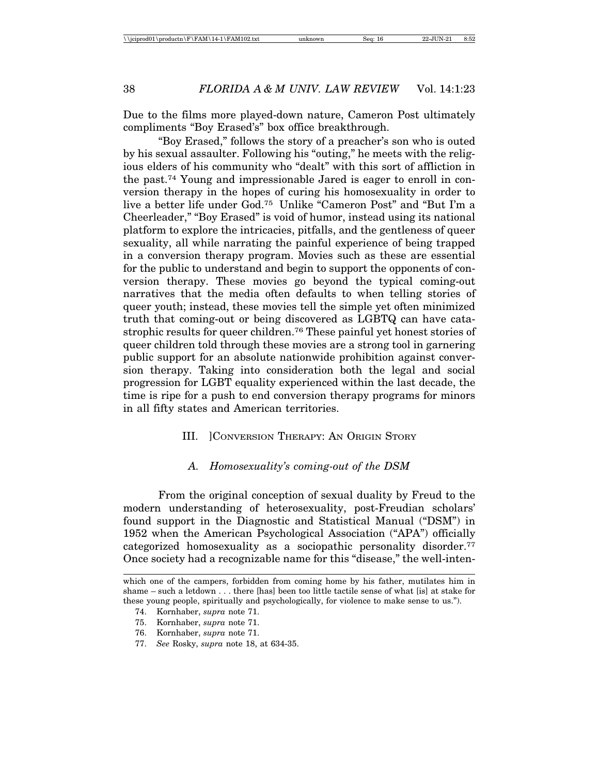Due to the films more played-down nature, Cameron Post ultimately compliments "Boy Erased's" box office breakthrough.

"Boy Erased," follows the story of a preacher's son who is outed by his sexual assaulter. Following his "outing," he meets with the religious elders of his community who "dealt" with this sort of affliction in the past.74 Young and impressionable Jared is eager to enroll in conversion therapy in the hopes of curing his homosexuality in order to live a better life under God.75 Unlike "Cameron Post" and "But I'm a Cheerleader," "Boy Erased" is void of humor, instead using its national platform to explore the intricacies, pitfalls, and the gentleness of queer sexuality, all while narrating the painful experience of being trapped in a conversion therapy program. Movies such as these are essential for the public to understand and begin to support the opponents of conversion therapy. These movies go beyond the typical coming-out narratives that the media often defaults to when telling stories of queer youth; instead, these movies tell the simple yet often minimized truth that coming-out or being discovered as LGBTQ can have catastrophic results for queer children.76 These painful yet honest stories of queer children told through these movies are a strong tool in garnering public support for an absolute nationwide prohibition against conversion therapy. Taking into consideration both the legal and social progression for LGBT equality experienced within the last decade, the time is ripe for a push to end conversion therapy programs for minors in all fifty states and American territories.

# III. ]CONVERSION THERAPY: AN ORIGIN STORY

# *A. Homosexuality's coming-out of the DSM*

From the original conception of sexual duality by Freud to the modern understanding of heterosexuality, post-Freudian scholars' found support in the Diagnostic and Statistical Manual ("DSM") in 1952 when the American Psychological Association ("APA") officially categorized homosexuality as a sociopathic personality disorder.77 Once society had a recognizable name for this "disease," the well-inten-

which one of the campers, forbidden from coming home by his father, mutilates him in shame – such a letdown . . . there [has] been too little tactile sense of what [is] at stake for these young people, spiritually and psychologically, for violence to make sense to us.").

<sup>74.</sup> Kornhaber, *supra* note 71.

<sup>75.</sup> Kornhaber, *supra* note 71.

<sup>76.</sup> Kornhaber, *supra* note 71.

<sup>77.</sup> *See* Rosky, *supra* note 18, at 634-35.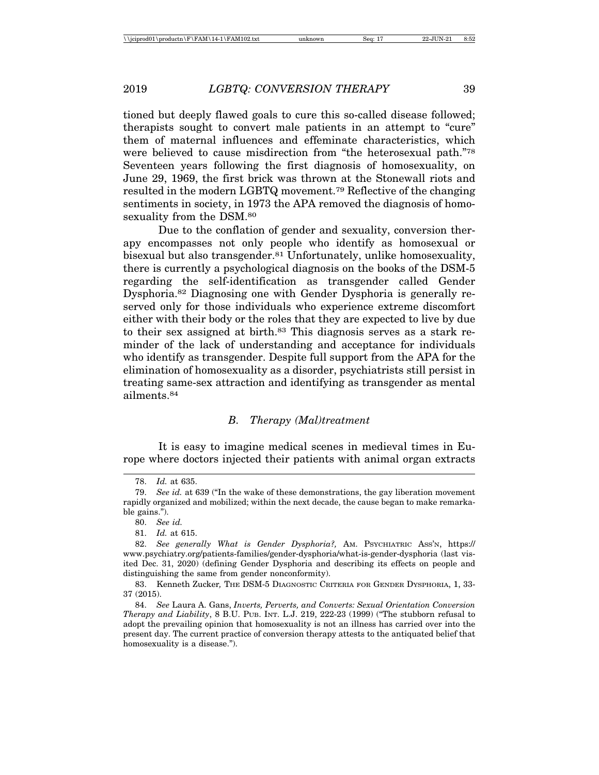tioned but deeply flawed goals to cure this so-called disease followed; therapists sought to convert male patients in an attempt to "cure" them of maternal influences and effeminate characteristics, which were believed to cause misdirection from "the heterosexual path."78 Seventeen years following the first diagnosis of homosexuality, on June 29, 1969, the first brick was thrown at the Stonewall riots and resulted in the modern LGBTQ movement.79 Reflective of the changing sentiments in society, in 1973 the APA removed the diagnosis of homosexuality from the DSM.<sup>80</sup>

Due to the conflation of gender and sexuality, conversion therapy encompasses not only people who identify as homosexual or bisexual but also transgender.<sup>81</sup> Unfortunately, unlike homosexuality, there is currently a psychological diagnosis on the books of the DSM-5 regarding the self-identification as transgender called Gender Dysphoria.82 Diagnosing one with Gender Dysphoria is generally reserved only for those individuals who experience extreme discomfort either with their body or the roles that they are expected to live by due to their sex assigned at birth.83 This diagnosis serves as a stark reminder of the lack of understanding and acceptance for individuals who identify as transgender. Despite full support from the APA for the elimination of homosexuality as a disorder, psychiatrists still persist in treating same-sex attraction and identifying as transgender as mental ailments.84

# *B. Therapy (Mal)treatment*

It is easy to imagine medical scenes in medieval times in Europe where doctors injected their patients with animal organ extracts

<sup>78.</sup> *Id.* at 635.

<sup>79.</sup> *See id.* at 639 ("In the wake of these demonstrations, the gay liberation movement rapidly organized and mobilized; within the next decade, the cause began to make remarkable gains.").

<sup>80.</sup> *See id.*

<sup>81.</sup> *Id.* at 615.

<sup>82.</sup> *See generally What is Gender Dysphoria?,* AM. PSYCHIATRIC ASS'N, https:// www.psychiatry.org/patients-families/gender-dysphoria/what-is-gender-dysphoria (last visited Dec. 31, 2020) (defining Gender Dysphoria and describing its effects on people and distinguishing the same from gender nonconformity).

<sup>83.</sup> Kenneth Zucker*,* THE DSM-5 DIAGNOSTIC CRITERIA FOR GENDER DYSPHORIA, 1, 33- 37 (2015).

<sup>84.</sup> *See* Laura A. Gans, *Inverts, Perverts, and Converts: Sexual Orientation Conversion Therapy and Liability*, 8 B.U. PUB. INT. L.J. 219, 222-23 (1999) ("The stubborn refusal to adopt the prevailing opinion that homosexuality is not an illness has carried over into the present day. The current practice of conversion therapy attests to the antiquated belief that homosexuality is a disease.").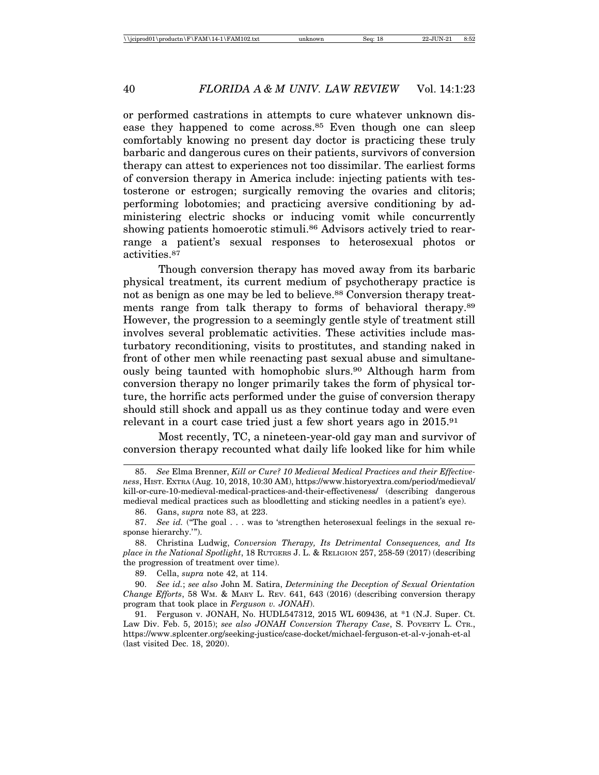or performed castrations in attempts to cure whatever unknown disease they happened to come across.<sup>85</sup> Even though one can sleep comfortably knowing no present day doctor is practicing these truly barbaric and dangerous cures on their patients, survivors of conversion therapy can attest to experiences not too dissimilar. The earliest forms of conversion therapy in America include: injecting patients with testosterone or estrogen; surgically removing the ovaries and clitoris; performing lobotomies; and practicing aversive conditioning by administering electric shocks or inducing vomit while concurrently showing patients homoerotic stimuli.<sup>86</sup> Advisors actively tried to rearrange a patient's sexual responses to heterosexual photos or activities.87

Though conversion therapy has moved away from its barbaric physical treatment, its current medium of psychotherapy practice is not as benign as one may be led to believe.<sup>88</sup> Conversion therapy treatments range from talk therapy to forms of behavioral therapy.89 However, the progression to a seemingly gentle style of treatment still involves several problematic activities. These activities include masturbatory reconditioning, visits to prostitutes, and standing naked in front of other men while reenacting past sexual abuse and simultaneously being taunted with homophobic slurs.90 Although harm from conversion therapy no longer primarily takes the form of physical torture, the horrific acts performed under the guise of conversion therapy should still shock and appall us as they continue today and were even relevant in a court case tried just a few short years ago in 2015.91

Most recently, TC, a nineteen-year-old gay man and survivor of conversion therapy recounted what daily life looked like for him while

86. Gans, *supra* note 83, at 223.

89. Cella, *supra* note 42, at 114.

90. *See id.*; *see also* John M. Satira, *Determining the Deception of Sexual Orientation Change Efforts*, 58 WM. & MARY L. REV. 641, 643 (2016) (describing conversion therapy program that took place in *Ferguson v. JONAH*).

91. Ferguson v. JONAH, No. HUDL547312, 2015 WL 609436, at \*1 (N.J. Super. Ct. Law Div. Feb. 5, 2015); *see also JONAH Conversion Therapy Case*, S. POVERTY L. CTR., https://www.splcenter.org/seeking-justice/case-docket/michael-ferguson-et-al-v-jonah-et-al (last visited Dec. 18, 2020).

<sup>85.</sup> *See* Elma Brenner, *Kill or Cure? 10 Medieval Medical Practices and their Effectiveness*, HIST. EXTRA (Aug. 10, 2018, 10:30 AM), https://www.historyextra.com/period/medieval/ kill-or-cure-10-medieval-medical-practices-and-their-effectiveness/ (describing dangerous medieval medical practices such as bloodletting and sticking needles in a patient's eye).

<sup>87.</sup> *See id.* ("The goal . . . was to 'strengthen heterosexual feelings in the sexual response hierarchy.'").

<sup>88.</sup> Christina Ludwig, *Conversion Therapy, Its Detrimental Consequences, and Its place in the National Spotlight*, 18 RUTGERS J. L. & RELIGION 257, 258-59 (2017) (describing the progression of treatment over time).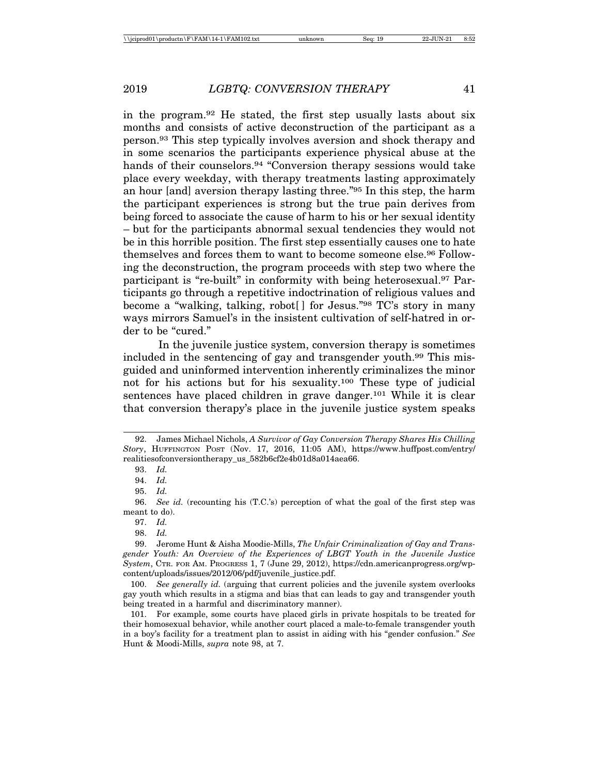in the program.92 He stated, the first step usually lasts about six months and consists of active deconstruction of the participant as a person.93 This step typically involves aversion and shock therapy and in some scenarios the participants experience physical abuse at the hands of their counselors.<sup>94</sup> "Conversion therapy sessions would take place every weekday, with therapy treatments lasting approximately an hour [and] aversion therapy lasting three."95 In this step, the harm the participant experiences is strong but the true pain derives from being forced to associate the cause of harm to his or her sexual identity – but for the participants abnormal sexual tendencies they would not be in this horrible position. The first step essentially causes one to hate themselves and forces them to want to become someone else.96 Following the deconstruction, the program proceeds with step two where the participant is "re-built" in conformity with being heterosexual.97 Participants go through a repetitive indoctrination of religious values and become a "walking, talking, robot[ ] for Jesus."98 TC's story in many ways mirrors Samuel's in the insistent cultivation of self-hatred in order to be "cured."

In the juvenile justice system, conversion therapy is sometimes included in the sentencing of gay and transgender youth.99 This misguided and uninformed intervention inherently criminalizes the minor not for his actions but for his sexuality.100 These type of judicial sentences have placed children in grave danger.101 While it is clear that conversion therapy's place in the juvenile justice system speaks

<sup>92.</sup> James Michael Nichols, *A Survivor of Gay Conversion Therapy Shares His Chilling Story*, HUFFINGTON POST (Nov. 17, 2016, 11:05 AM), https://www.huffpost.com/entry/ realitiesofconversiontherapy\_us\_582b6cf2e4b01d8a014aea66.

<sup>93.</sup> *Id.*

<sup>94.</sup> *Id.*

<sup>95.</sup> *Id.*

<sup>96.</sup> *See id.* (recounting his (T.C.'s) perception of what the goal of the first step was meant to do).

<sup>97.</sup> *Id.*

<sup>98.</sup> *Id.*

<sup>99.</sup> Jerome Hunt & Aisha Moodie-Mills, *The Unfair Criminalization of Gay and Transgender Youth: An Overview of the Experiences of LBGT Youth in the Juvenile Justice System*, CTR. FOR AM. PROGRESS 1, 7 (June 29, 2012), https://cdn.americanprogress.org/wpcontent/uploads/issues/2012/06/pdf/juvenile\_justice.pdf.

<sup>100.</sup> *See generally id.* (arguing that current policies and the juvenile system overlooks gay youth which results in a stigma and bias that can leads to gay and transgender youth being treated in a harmful and discriminatory manner).

<sup>101.</sup> For example, some courts have placed girls in private hospitals to be treated for their homosexual behavior, while another court placed a male-to-female transgender youth in a boy's facility for a treatment plan to assist in aiding with his "gender confusion." *See* Hunt & Moodi-Mills, *supra* note 98, at 7.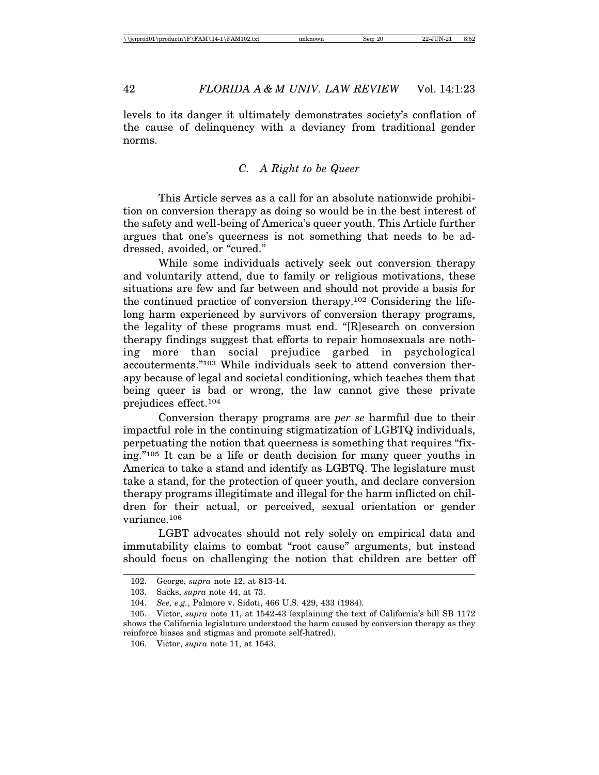levels to its danger it ultimately demonstrates society's conflation of the cause of delinquency with a deviancy from traditional gender norms.

# *C. A Right to be Queer*

This Article serves as a call for an absolute nationwide prohibition on conversion therapy as doing so would be in the best interest of the safety and well-being of America's queer youth. This Article further argues that one's queerness is not something that needs to be addressed, avoided, or "cured."

While some individuals actively seek out conversion therapy and voluntarily attend, due to family or religious motivations, these situations are few and far between and should not provide a basis for the continued practice of conversion therapy.102 Considering the lifelong harm experienced by survivors of conversion therapy programs, the legality of these programs must end. "[R]esearch on conversion therapy findings suggest that efforts to repair homosexuals are nothing more than social prejudice garbed in psychological accouterments."103 While individuals seek to attend conversion therapy because of legal and societal conditioning, which teaches them that being queer is bad or wrong, the law cannot give these private prejudices effect.104

Conversion therapy programs are *per se* harmful due to their impactful role in the continuing stigmatization of LGBTQ individuals, perpetuating the notion that queerness is something that requires "fixing."105 It can be a life or death decision for many queer youths in America to take a stand and identify as LGBTQ. The legislature must take a stand, for the protection of queer youth, and declare conversion therapy programs illegitimate and illegal for the harm inflicted on children for their actual, or perceived, sexual orientation or gender variance.106

LGBT advocates should not rely solely on empirical data and immutability claims to combat "root cause" arguments, but instead should focus on challenging the notion that children are better off

<sup>102.</sup> George, *supra* note 12, at 813-14.

<sup>103.</sup> Sacks, *supra* note 44, at 73.

<sup>104.</sup> *See, e.g.*, Palmore v. Sidoti, 466 U.S. 429, 433 (1984).

<sup>105.</sup> Victor, *supra* note 11, at 1542-43 (explaining the text of California's bill SB 1172 shows the California legislature understood the harm caused by conversion therapy as they reinforce biases and stigmas and promote self-hatred).

<sup>106.</sup> Victor, *supra* note 11, at 1543.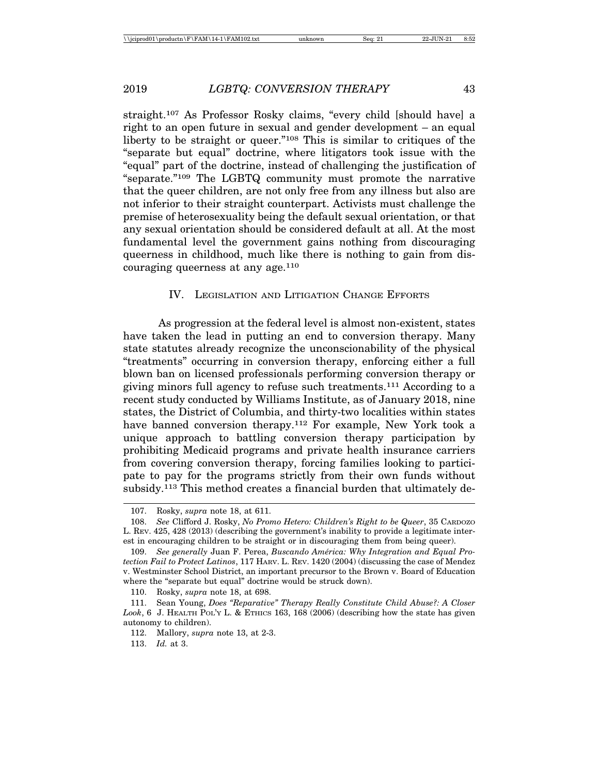straight.107 As Professor Rosky claims, "every child [should have] a right to an open future in sexual and gender development – an equal liberty to be straight or queer."108 This is similar to critiques of the "separate but equal" doctrine, where litigators took issue with the "equal" part of the doctrine, instead of challenging the justification of "separate."109 The LGBTQ community must promote the narrative that the queer children, are not only free from any illness but also are not inferior to their straight counterpart. Activists must challenge the premise of heterosexuality being the default sexual orientation, or that any sexual orientation should be considered default at all. At the most fundamental level the government gains nothing from discouraging queerness in childhood, much like there is nothing to gain from discouraging queerness at any age.110

# IV. LEGISLATION AND LITIGATION CHANGE EFFORTS

As progression at the federal level is almost non-existent, states have taken the lead in putting an end to conversion therapy. Many state statutes already recognize the unconscionability of the physical "treatments" occurring in conversion therapy, enforcing either a full blown ban on licensed professionals performing conversion therapy or giving minors full agency to refuse such treatments.111 According to a recent study conducted by Williams Institute, as of January 2018, nine states, the District of Columbia, and thirty-two localities within states have banned conversion therapy.112 For example, New York took a unique approach to battling conversion therapy participation by prohibiting Medicaid programs and private health insurance carriers from covering conversion therapy, forcing families looking to participate to pay for the programs strictly from their own funds without subsidy.<sup>113</sup> This method creates a financial burden that ultimately de-

<sup>107.</sup> Rosky, *supra* note 18, at 611.

<sup>108.</sup> *See* Clifford J. Rosky, *No Promo Hetero: Children's Right to be Queer*, 35 CARDOZO L. REV. 425, 428 (2013) (describing the government's inability to provide a legitimate interest in encouraging children to be straight or in discouraging them from being queer).

<sup>109.</sup> See generally Juan F. Perea, Buscando América: Why Integration and Equal Pro*tection Fail to Protect Latinos*, 117 HARV. L. REV. 1420 (2004) (discussing the case of Mendez v. Westminster School District, an important precursor to the Brown v. Board of Education where the "separate but equal" doctrine would be struck down).

<sup>110.</sup> Rosky, *supra* note 18, at 698.

<sup>111.</sup> Sean Young, *Does "Reparative" Therapy Really Constitute Child Abuse?: A Closer Look*, 6 J. HEALTH POL'Y L. & ETHICS 163, 168 (2006) (describing how the state has given autonomy to children).

<sup>112.</sup> Mallory, *supra* note 13, at 2-3.

<sup>113.</sup> *Id.* at 3.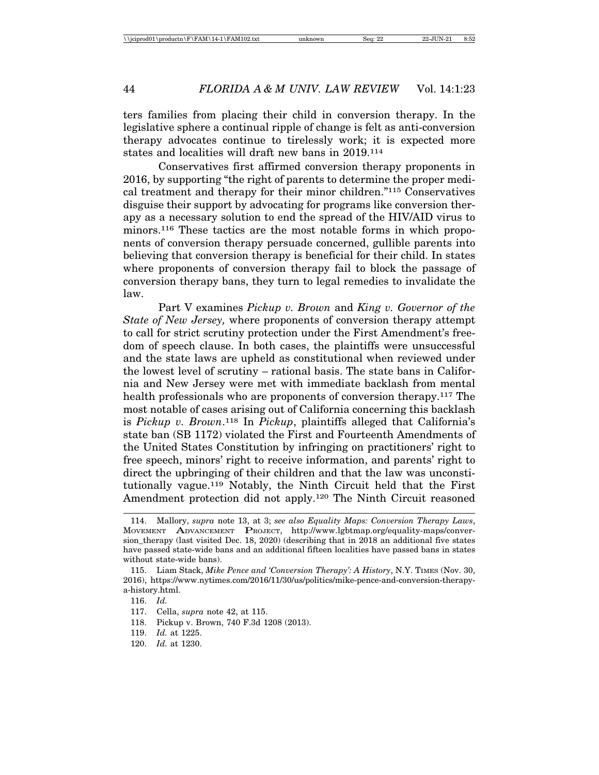ters families from placing their child in conversion therapy. In the legislative sphere a continual ripple of change is felt as anti-conversion therapy advocates continue to tirelessly work; it is expected more states and localities will draft new bans in 2019.114

Conservatives first affirmed conversion therapy proponents in 2016, by supporting "the right of parents to determine the proper medical treatment and therapy for their minor children."115 Conservatives disguise their support by advocating for programs like conversion therapy as a necessary solution to end the spread of the HIV/AID virus to minors.116 These tactics are the most notable forms in which proponents of conversion therapy persuade concerned, gullible parents into believing that conversion therapy is beneficial for their child. In states where proponents of conversion therapy fail to block the passage of conversion therapy bans, they turn to legal remedies to invalidate the law.

Part V examines *Pickup v. Brown* and *King v. Governor of the State of New Jersey,* where proponents of conversion therapy attempt to call for strict scrutiny protection under the First Amendment's freedom of speech clause. In both cases, the plaintiffs were unsuccessful and the state laws are upheld as constitutional when reviewed under the lowest level of scrutiny – rational basis. The state bans in California and New Jersey were met with immediate backlash from mental health professionals who are proponents of conversion therapy.117 The most notable of cases arising out of California concerning this backlash is *Pickup v. Brown*.118 In *Pickup*, plaintiffs alleged that California's state ban (SB 1172) violated the First and Fourteenth Amendments of the United States Constitution by infringing on practitioners' right to free speech, minors' right to receive information, and parents' right to direct the upbringing of their children and that the law was unconstitutionally vague.119 Notably, the Ninth Circuit held that the First Amendment protection did not apply.120 The Ninth Circuit reasoned

<sup>114.</sup> Mallory, *supra* note 13, at 3; *see also Equality Maps: Conversion Therapy Laws*, MOVEMENT ADVANCEMENT PROJECT, http://www.lgbtmap.org/equality-maps/conversion therapy (last visited Dec. 18, 2020) (describing that in 2018 an additional five states have passed state-wide bans and an additional fifteen localities have passed bans in states without state-wide bans).

<sup>115.</sup> Liam Stack, *Mike Pence and 'Conversion Therapy': A History*, N.Y. TIMES (Nov. 30, 2016), https://www.nytimes.com/2016/11/30/us/politics/mike-pence-and-conversion-therapya-history.html.

<sup>116.</sup> *Id.*

<sup>117.</sup> Cella, *supra* note 42, at 115.

<sup>118.</sup> Pickup v. Brown, 740 F.3d 1208 (2013).

<sup>119.</sup> *Id.* at 1225.

<sup>120.</sup> *Id.* at 1230.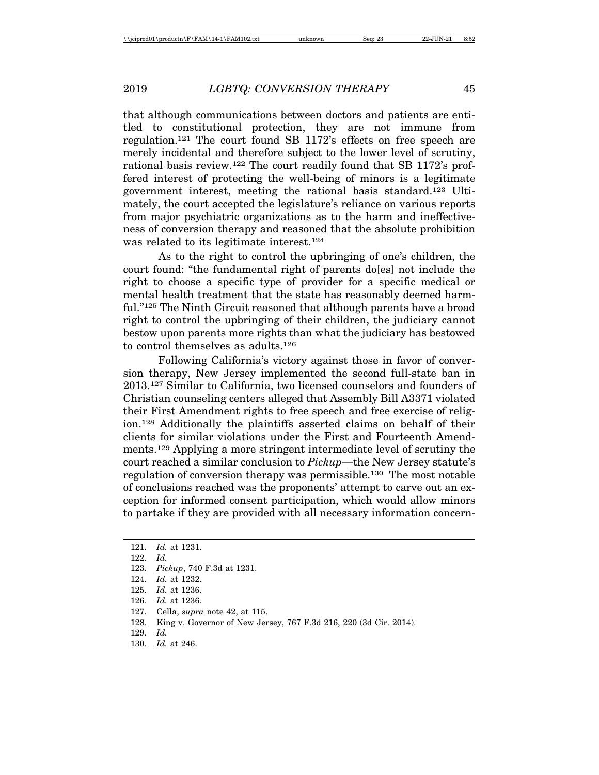that although communications between doctors and patients are entitled to constitutional protection, they are not immune from regulation.121 The court found SB 1172's effects on free speech are merely incidental and therefore subject to the lower level of scrutiny, rational basis review.122 The court readily found that SB 1172's proffered interest of protecting the well-being of minors is a legitimate government interest, meeting the rational basis standard.123 Ultimately, the court accepted the legislature's reliance on various reports from major psychiatric organizations as to the harm and ineffectiveness of conversion therapy and reasoned that the absolute prohibition was related to its legitimate interest.124

As to the right to control the upbringing of one's children, the court found: "the fundamental right of parents do[es] not include the right to choose a specific type of provider for a specific medical or mental health treatment that the state has reasonably deemed harmful."125 The Ninth Circuit reasoned that although parents have a broad right to control the upbringing of their children, the judiciary cannot bestow upon parents more rights than what the judiciary has bestowed to control themselves as adults.126

Following California's victory against those in favor of conversion therapy, New Jersey implemented the second full-state ban in 2013.127 Similar to California, two licensed counselors and founders of Christian counseling centers alleged that Assembly Bill A3371 violated their First Amendment rights to free speech and free exercise of religion.128 Additionally the plaintiffs asserted claims on behalf of their clients for similar violations under the First and Fourteenth Amendments.129 Applying a more stringent intermediate level of scrutiny the court reached a similar conclusion to *Pickup*—the New Jersey statute's regulation of conversion therapy was permissible.130 The most notable of conclusions reached was the proponents' attempt to carve out an exception for informed consent participation, which would allow minors to partake if they are provided with all necessary information concern-

<sup>121.</sup> *Id.* at 1231.

<sup>122.</sup> *Id.*

<sup>123.</sup> *Pickup*, 740 F.3d at 1231.

<sup>124.</sup> *Id.* at 1232.

<sup>125.</sup> *Id.* at 1236.

<sup>126.</sup> *Id.* at 1236.

<sup>127.</sup> Cella, *supra* note 42, at 115.

<sup>128.</sup> King v. Governor of New Jersey, 767 F.3d 216, 220 (3d Cir. 2014).

<sup>129.</sup> *Id.*

<sup>130.</sup> *Id.* at 246.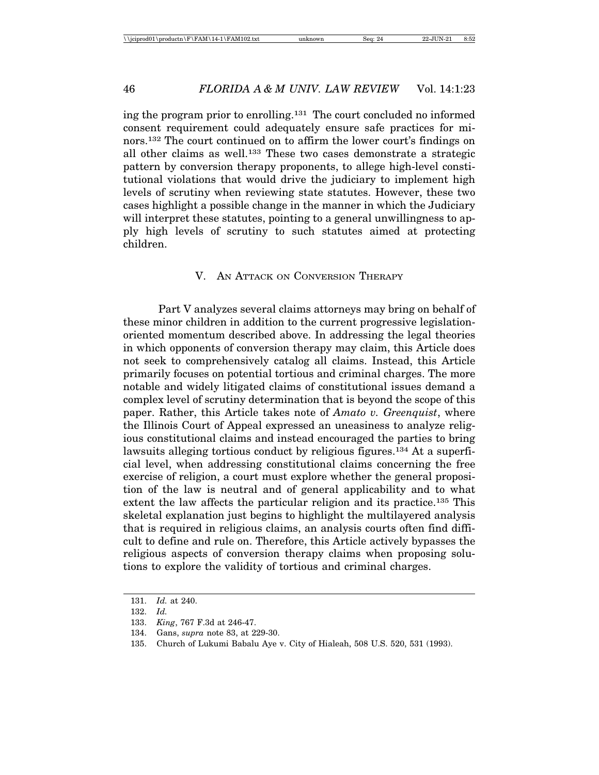ing the program prior to enrolling.131 The court concluded no informed consent requirement could adequately ensure safe practices for minors.132 The court continued on to affirm the lower court's findings on all other claims as well.133 These two cases demonstrate a strategic pattern by conversion therapy proponents, to allege high-level constitutional violations that would drive the judiciary to implement high levels of scrutiny when reviewing state statutes. However, these two cases highlight a possible change in the manner in which the Judiciary will interpret these statutes, pointing to a general unwillingness to apply high levels of scrutiny to such statutes aimed at protecting children.

### V. AN ATTACK ON CONVERSION THERAPY

Part V analyzes several claims attorneys may bring on behalf of these minor children in addition to the current progressive legislationoriented momentum described above. In addressing the legal theories in which opponents of conversion therapy may claim, this Article does not seek to comprehensively catalog all claims. Instead, this Article primarily focuses on potential tortious and criminal charges. The more notable and widely litigated claims of constitutional issues demand a complex level of scrutiny determination that is beyond the scope of this paper. Rather, this Article takes note of *Amato v. Greenquist*, where the Illinois Court of Appeal expressed an uneasiness to analyze religious constitutional claims and instead encouraged the parties to bring lawsuits alleging tortious conduct by religious figures.134 At a superficial level, when addressing constitutional claims concerning the free exercise of religion, a court must explore whether the general proposition of the law is neutral and of general applicability and to what extent the law affects the particular religion and its practice.135 This skeletal explanation just begins to highlight the multilayered analysis that is required in religious claims, an analysis courts often find difficult to define and rule on. Therefore, this Article actively bypasses the religious aspects of conversion therapy claims when proposing solutions to explore the validity of tortious and criminal charges.

<sup>131.</sup> *Id.* at 240.

<sup>132.</sup> *Id.*

<sup>133.</sup> *King*, 767 F.3d at 246-47.

<sup>134.</sup> Gans, *supra* note 83, at 229-30.

<sup>135.</sup> Church of Lukumi Babalu Aye v. City of Hialeah, 508 U.S. 520, 531 (1993).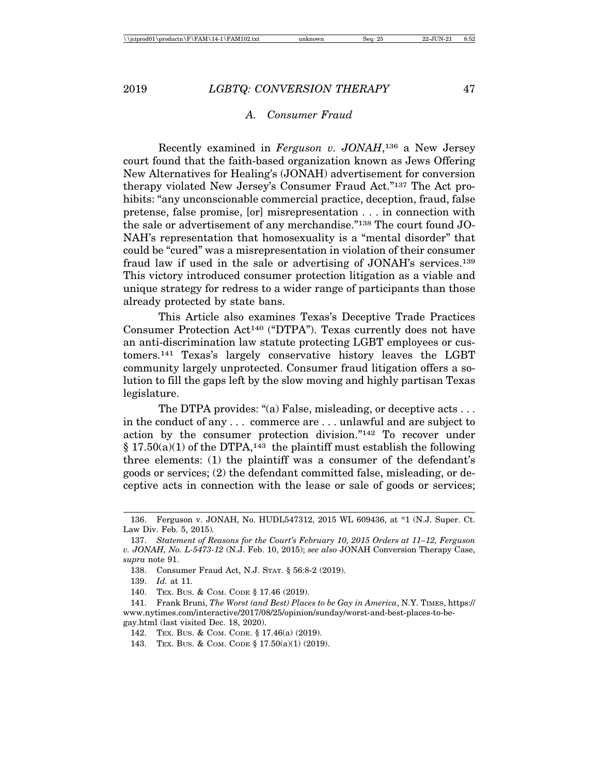#### *A. Consumer Fraud*

Recently examined in *Ferguson v. JONAH*,136 a New Jersey court found that the faith-based organization known as Jews Offering New Alternatives for Healing's (JONAH) advertisement for conversion therapy violated New Jersey's Consumer Fraud Act."137 The Act prohibits: "any unconscionable commercial practice, deception, fraud, false pretense, false promise, [or] misrepresentation . . . in connection with the sale or advertisement of any merchandise."138 The court found JO-NAH's representation that homosexuality is a "mental disorder" that could be "cured" was a misrepresentation in violation of their consumer fraud law if used in the sale or advertising of JONAH's services.139 This victory introduced consumer protection litigation as a viable and unique strategy for redress to a wider range of participants than those already protected by state bans.

This Article also examines Texas's Deceptive Trade Practices Consumer Protection Act140 ("DTPA"). Texas currently does not have an anti-discrimination law statute protecting LGBT employees or customers.141 Texas's largely conservative history leaves the LGBT community largely unprotected. Consumer fraud litigation offers a solution to fill the gaps left by the slow moving and highly partisan Texas legislature.

The DTPA provides: "(a) False, misleading, or deceptive acts . . . in the conduct of any . . . commerce are . . . unlawful and are subject to action by the consumer protection division."142 To recover under  $§ 17.50(a)(1)$  of the DTPA,<sup>143</sup> the plaintiff must establish the following three elements: (1) the plaintiff was a consumer of the defendant's goods or services; (2) the defendant committed false, misleading, or deceptive acts in connection with the lease or sale of goods or services;

<sup>136.</sup> Ferguson v. JONAH, No. HUDL547312, 2015 WL 609436, at \*1 (N.J. Super. Ct. Law Div. Feb. 5, 2015)*.*

<sup>137.</sup> *Statement of Reasons for the Court's February 10, 2015 Orders at 11–12, Ferguson v. JONAH, No. L-5473-12* (N.J. Feb. 10, 2015); *see also* JONAH Conversion Therapy Case, *supra* note 91.

<sup>138.</sup> Consumer Fraud Act, N.J. STAT. § 56:8-2 (2019).

<sup>139.</sup> *Id.* at 11.

<sup>140.</sup> TEX. BUS. & COM. CODE § 17.46 (2019).

<sup>141.</sup> Frank Bruni, *The Worst (and Best) Places to be Gay in America*, N.Y. TIMES, https:// www.nytimes.com/interactive/2017/08/25/opinion/sunday/worst-and-best-places-to-begay.html (last visited Dec. 18, 2020).

<sup>142.</sup> TEX. BUS. & COM. CODE. § 17.46(a) (2019).

<sup>143.</sup> TEX. BUS. & COM. CODE § 17.50(a)(1) (2019).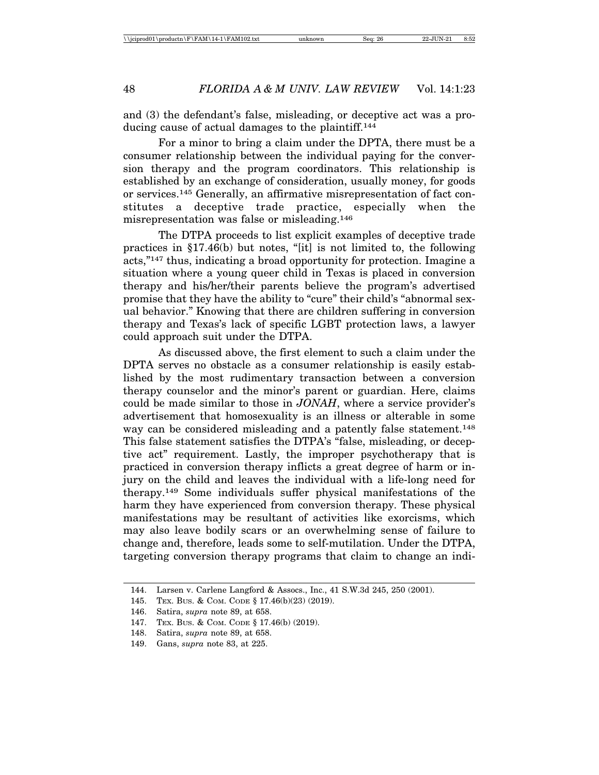and (3) the defendant's false, misleading, or deceptive act was a producing cause of actual damages to the plaintiff.144

For a minor to bring a claim under the DPTA, there must be a consumer relationship between the individual paying for the conversion therapy and the program coordinators. This relationship is established by an exchange of consideration, usually money, for goods or services.145 Generally, an affirmative misrepresentation of fact constitutes a deceptive trade practice, especially when the misrepresentation was false or misleading.146

The DTPA proceeds to list explicit examples of deceptive trade practices in §17.46(b) but notes, "[it] is not limited to, the following acts,"147 thus, indicating a broad opportunity for protection. Imagine a situation where a young queer child in Texas is placed in conversion therapy and his/her/their parents believe the program's advertised promise that they have the ability to "cure" their child's "abnormal sexual behavior." Knowing that there are children suffering in conversion therapy and Texas's lack of specific LGBT protection laws, a lawyer could approach suit under the DTPA.

As discussed above, the first element to such a claim under the DPTA serves no obstacle as a consumer relationship is easily established by the most rudimentary transaction between a conversion therapy counselor and the minor's parent or guardian. Here, claims could be made similar to those in *JONAH*, where a service provider's advertisement that homosexuality is an illness or alterable in some way can be considered misleading and a patently false statement.<sup>148</sup> This false statement satisfies the DTPA's "false, misleading, or deceptive act" requirement. Lastly, the improper psychotherapy that is practiced in conversion therapy inflicts a great degree of harm or injury on the child and leaves the individual with a life-long need for therapy.149 Some individuals suffer physical manifestations of the harm they have experienced from conversion therapy. These physical manifestations may be resultant of activities like exorcisms, which may also leave bodily scars or an overwhelming sense of failure to change and, therefore, leads some to self-mutilation. Under the DTPA, targeting conversion therapy programs that claim to change an indi-

<sup>144.</sup> Larsen v. Carlene Langford & Assocs., Inc., 41 S.W.3d 245, 250 (2001).

<sup>145.</sup> TEX. BUS. & COM. CODE § 17.46(b)(23) (2019).

<sup>146.</sup> Satira, *supra* note 89, at 658.

<sup>147.</sup> TEX. BUS. & COM. CODE § 17.46(b) (2019).

<sup>148.</sup> Satira, *supra* note 89, at 658.

<sup>149.</sup> Gans, *supra* note 83, at 225.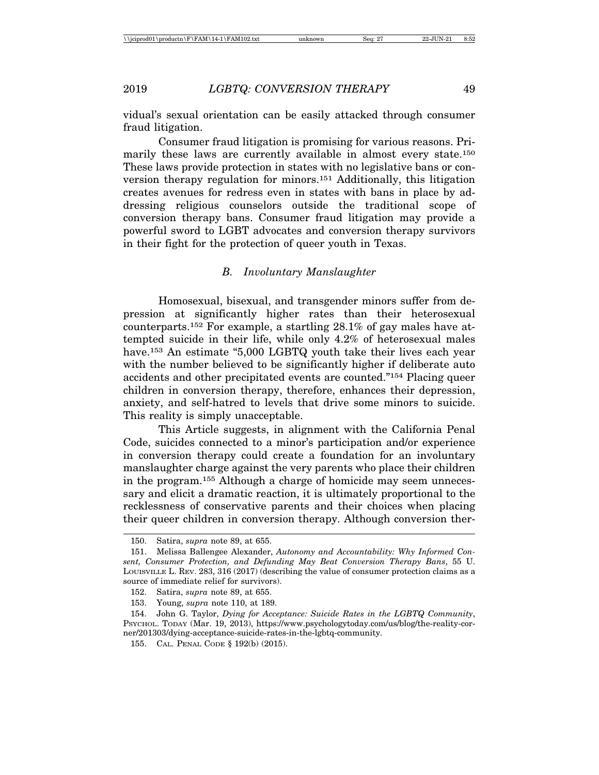vidual's sexual orientation can be easily attacked through consumer fraud litigation.

Consumer fraud litigation is promising for various reasons. Primarily these laws are currently available in almost every state.150 These laws provide protection in states with no legislative bans or conversion therapy regulation for minors.151 Additionally, this litigation creates avenues for redress even in states with bans in place by addressing religious counselors outside the traditional scope of conversion therapy bans. Consumer fraud litigation may provide a powerful sword to LGBT advocates and conversion therapy survivors in their fight for the protection of queer youth in Texas.

# *B. Involuntary Manslaughter*

Homosexual, bisexual, and transgender minors suffer from depression at significantly higher rates than their heterosexual counterparts.152 For example, a startling 28.1% of gay males have attempted suicide in their life, while only 4.2% of heterosexual males have.153 An estimate "5,000 LGBTQ youth take their lives each year with the number believed to be significantly higher if deliberate auto accidents and other precipitated events are counted."154 Placing queer children in conversion therapy, therefore, enhances their depression, anxiety, and self-hatred to levels that drive some minors to suicide. This reality is simply unacceptable.

This Article suggests, in alignment with the California Penal Code, suicides connected to a minor's participation and/or experience in conversion therapy could create a foundation for an involuntary manslaughter charge against the very parents who place their children in the program.155 Although a charge of homicide may seem unnecessary and elicit a dramatic reaction, it is ultimately proportional to the recklessness of conservative parents and their choices when placing their queer children in conversion therapy. Although conversion ther-

<sup>150.</sup> Satira, *supra* note 89, at 655.

<sup>151.</sup> Melissa Ballengee Alexander, *Autonomy and Accountability: Why Informed Consent, Consumer Protection, and Defunding May Beat Conversion Therapy Bans*, 55 U. LOUISVILLE L. REV. 283, 316 (2017) (describing the value of consumer protection claims as a source of immediate relief for survivors).

<sup>152.</sup> Satira, *supra* note 89, at 655.

<sup>153.</sup> Young, *supra* note 110, at 189.

<sup>154.</sup> John G. Taylor, *Dying for Acceptance: Suicide Rates in the LGBTQ Community*, PSYCHOL. TODAY (Mar. 19, 2013), https://www.psychologytoday.com/us/blog/the-reality-corner/201303/dying-acceptance-suicide-rates-in-the-lgbtq-community.

<sup>155.</sup> CAL. PENAL CODE § 192(b) (2015).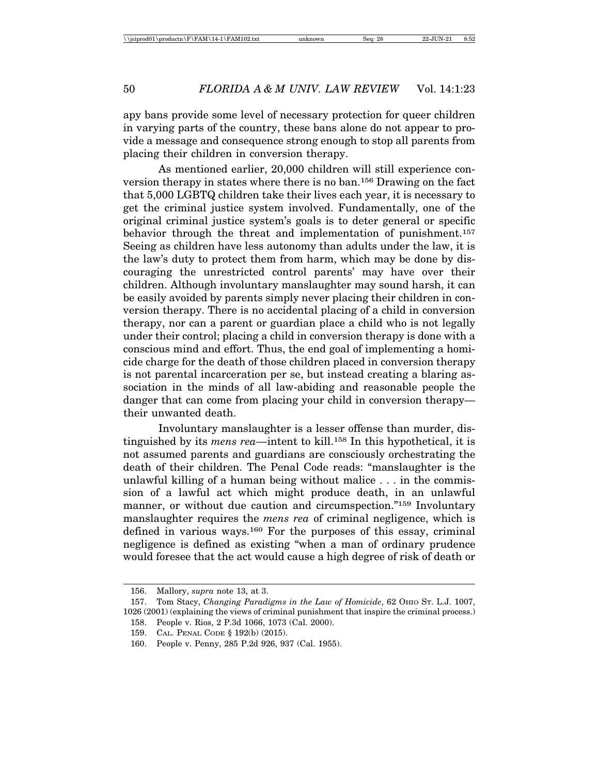apy bans provide some level of necessary protection for queer children in varying parts of the country, these bans alone do not appear to provide a message and consequence strong enough to stop all parents from placing their children in conversion therapy.

As mentioned earlier, 20,000 children will still experience conversion therapy in states where there is no ban.156 Drawing on the fact that 5,000 LGBTQ children take their lives each year, it is necessary to get the criminal justice system involved. Fundamentally, one of the original criminal justice system's goals is to deter general or specific behavior through the threat and implementation of punishment.<sup>157</sup> Seeing as children have less autonomy than adults under the law, it is the law's duty to protect them from harm, which may be done by discouraging the unrestricted control parents' may have over their children. Although involuntary manslaughter may sound harsh, it can be easily avoided by parents simply never placing their children in conversion therapy. There is no accidental placing of a child in conversion therapy, nor can a parent or guardian place a child who is not legally under their control; placing a child in conversion therapy is done with a conscious mind and effort. Thus, the end goal of implementing a homicide charge for the death of those children placed in conversion therapy is not parental incarceration per se, but instead creating a blaring association in the minds of all law-abiding and reasonable people the danger that can come from placing your child in conversion therapy their unwanted death.

Involuntary manslaughter is a lesser offense than murder, distinguished by its *mens rea*—intent to kill.158 In this hypothetical, it is not assumed parents and guardians are consciously orchestrating the death of their children. The Penal Code reads: "manslaughter is the unlawful killing of a human being without malice . . . in the commission of a lawful act which might produce death, in an unlawful manner, or without due caution and circumspection."159 Involuntary manslaughter requires the *mens rea* of criminal negligence, which is defined in various ways.<sup>160</sup> For the purposes of this essay, criminal negligence is defined as existing "when a man of ordinary prudence would foresee that the act would cause a high degree of risk of death or

<sup>156.</sup> Mallory, *supra* note 13, at 3.

<sup>157.</sup> Tom Stacy, *Changing Paradigms in the Law of Homicide*, 62 OHIO ST. L.J. 1007, 1026 (2001) (explaining the views of criminal punishment that inspire the criminal process.) 158. People v. Rios, 2 P.3d 1066, 1073 (Cal. 2000).

<sup>159.</sup> CAL. PENAL CODE § 192(b) (2015).

<sup>160.</sup> People v. Penny, 285 P.2d 926, 937 (Cal. 1955).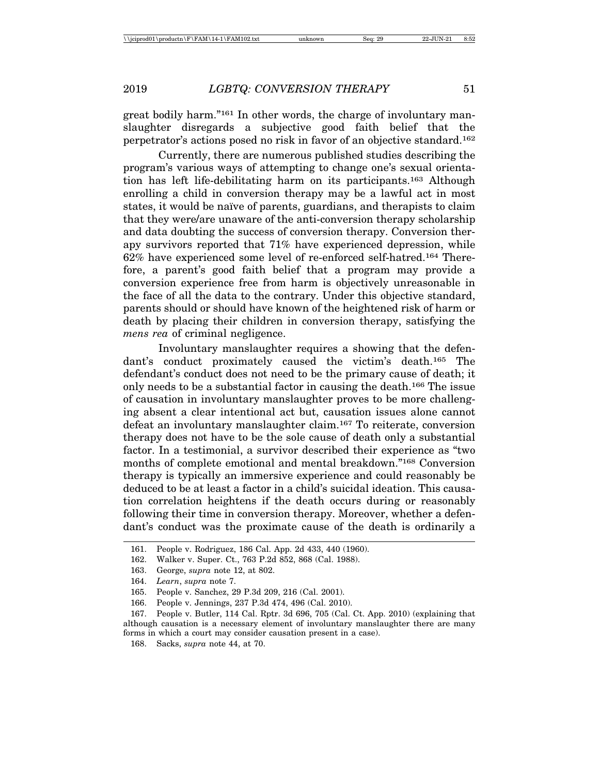great bodily harm."161 In other words, the charge of involuntary manslaughter disregards a subjective good faith belief that the perpetrator's actions posed no risk in favor of an objective standard.162

Currently, there are numerous published studies describing the program's various ways of attempting to change one's sexual orientation has left life-debilitating harm on its participants.163 Although enrolling a child in conversion therapy may be a lawful act in most states, it would be naïve of parents, guardians, and therapists to claim that they were/are unaware of the anti-conversion therapy scholarship and data doubting the success of conversion therapy. Conversion therapy survivors reported that 71% have experienced depression, while 62% have experienced some level of re-enforced self-hatred.164 Therefore, a parent's good faith belief that a program may provide a conversion experience free from harm is objectively unreasonable in the face of all the data to the contrary. Under this objective standard, parents should or should have known of the heightened risk of harm or death by placing their children in conversion therapy, satisfying the *mens rea* of criminal negligence.

Involuntary manslaughter requires a showing that the defendant's conduct proximately caused the victim's death.165 The defendant's conduct does not need to be the primary cause of death; it only needs to be a substantial factor in causing the death.166 The issue of causation in involuntary manslaughter proves to be more challenging absent a clear intentional act but, causation issues alone cannot defeat an involuntary manslaughter claim.167 To reiterate, conversion therapy does not have to be the sole cause of death only a substantial factor. In a testimonial, a survivor described their experience as "two months of complete emotional and mental breakdown."168 Conversion therapy is typically an immersive experience and could reasonably be deduced to be at least a factor in a child's suicidal ideation. This causation correlation heightens if the death occurs during or reasonably following their time in conversion therapy. Moreover, whether a defendant's conduct was the proximate cause of the death is ordinarily a

<sup>161.</sup> People v. Rodriguez, 186 Cal. App. 2d 433, 440 (1960).

<sup>162.</sup> Walker v. Super. Ct., 763 P.2d 852, 868 (Cal. 1988).

<sup>163.</sup> George, *supra* note 12, at 802.

<sup>164.</sup> *Learn*, *supra* note 7.

<sup>165.</sup> People v. Sanchez, 29 P.3d 209, 216 (Cal. 2001).

<sup>166.</sup> People v. Jennings, 237 P.3d 474, 496 (Cal. 2010).

<sup>167.</sup> People v. Butler, 114 Cal. Rptr. 3d 696, 705 (Cal. Ct. App. 2010) (explaining that although causation is a necessary element of involuntary manslaughter there are many forms in which a court may consider causation present in a case).

<sup>168.</sup> Sacks, *supra* note 44, at 70.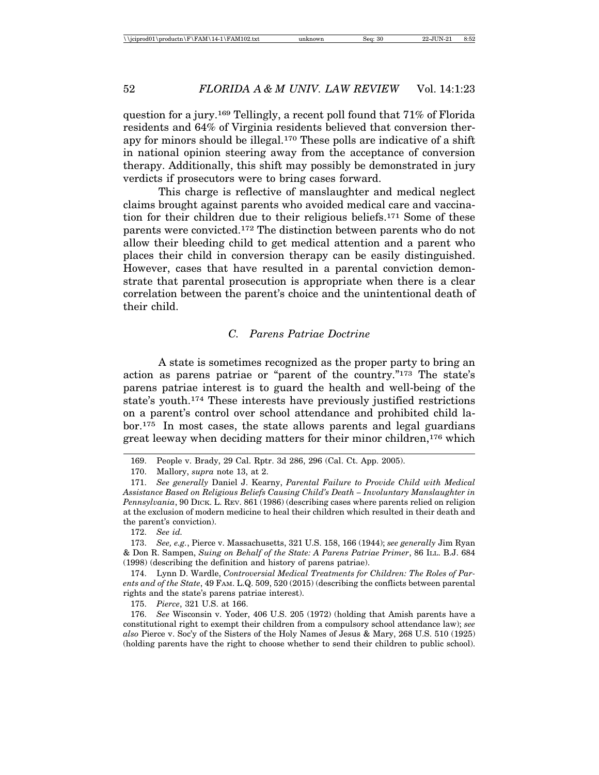question for a jury.169 Tellingly, a recent poll found that 71% of Florida residents and 64% of Virginia residents believed that conversion therapy for minors should be illegal.170 These polls are indicative of a shift in national opinion steering away from the acceptance of conversion therapy. Additionally, this shift may possibly be demonstrated in jury verdicts if prosecutors were to bring cases forward.

This charge is reflective of manslaughter and medical neglect claims brought against parents who avoided medical care and vaccination for their children due to their religious beliefs.171 Some of these parents were convicted.172 The distinction between parents who do not allow their bleeding child to get medical attention and a parent who places their child in conversion therapy can be easily distinguished. However, cases that have resulted in a parental conviction demonstrate that parental prosecution is appropriate when there is a clear correlation between the parent's choice and the unintentional death of their child.

# *C. Parens Patriae Doctrine*

A state is sometimes recognized as the proper party to bring an action as parens patriae or "parent of the country."173 The state's parens patriae interest is to guard the health and well-being of the state's youth.174 These interests have previously justified restrictions on a parent's control over school attendance and prohibited child labor.175 In most cases, the state allows parents and legal guardians great leeway when deciding matters for their minor children,176 which

174. Lynn D. Wardle, *Controversial Medical Treatments for Children: The Roles of Parents and of the State*, 49 FAM. L.Q. 509, 520 (2015) (describing the conflicts between parental rights and the state's parens patriae interest).

175. *Pierce*, 321 U.S. at 166.

176. *See* Wisconsin v. Yoder, 406 U.S. 205 (1972) (holding that Amish parents have a constitutional right to exempt their children from a compulsory school attendance law); *see also* Pierce v. Soc'y of the Sisters of the Holy Names of Jesus & Mary, 268 U.S. 510 (1925) (holding parents have the right to choose whether to send their children to public school).

<sup>169.</sup> People v. Brady, 29 Cal. Rptr. 3d 286, 296 (Cal. Ct. App. 2005).

<sup>170.</sup> Mallory, *supra* note 13, at 2.

<sup>171.</sup> *See generally* Daniel J. Kearny, *Parental Failure to Provide Child with Medical Assistance Based on Religious Beliefs Causing Child's Death – Involuntary Manslaughter in Pennsylvania*, 90 DICK. L. REV. 861 (1986) (describing cases where parents relied on religion at the exclusion of modern medicine to heal their children which resulted in their death and the parent's conviction).

<sup>172.</sup> *See id.*

<sup>173.</sup> *See, e.g.*, Pierce v. Massachusetts, 321 U.S. 158, 166 (1944); *see generally* Jim Ryan & Don R. Sampen, *Suing on Behalf of the State: A Parens Patriae Primer*, 86 ILL. B.J. 684 (1998) (describing the definition and history of parens patriae).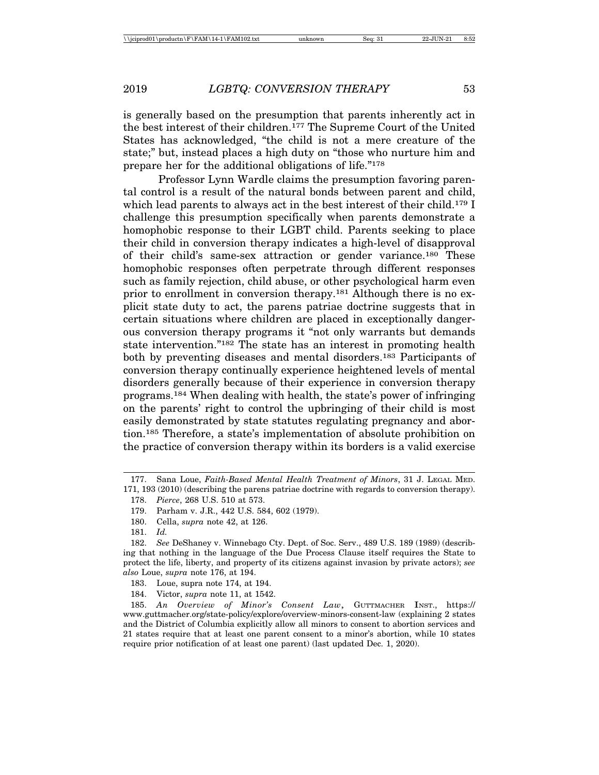is generally based on the presumption that parents inherently act in the best interest of their children.177 The Supreme Court of the United States has acknowledged, "the child is not a mere creature of the state;" but, instead places a high duty on "those who nurture him and prepare her for the additional obligations of life."178

Professor Lynn Wardle claims the presumption favoring parental control is a result of the natural bonds between parent and child, which lead parents to always act in the best interest of their child.<sup>179</sup> I challenge this presumption specifically when parents demonstrate a homophobic response to their LGBT child. Parents seeking to place their child in conversion therapy indicates a high-level of disapproval of their child's same-sex attraction or gender variance.180 These homophobic responses often perpetrate through different responses such as family rejection, child abuse, or other psychological harm even prior to enrollment in conversion therapy.181 Although there is no explicit state duty to act, the parens patriae doctrine suggests that in certain situations where children are placed in exceptionally dangerous conversion therapy programs it "not only warrants but demands state intervention."182 The state has an interest in promoting health both by preventing diseases and mental disorders.183 Participants of conversion therapy continually experience heightened levels of mental disorders generally because of their experience in conversion therapy programs.184 When dealing with health, the state's power of infringing on the parents' right to control the upbringing of their child is most easily demonstrated by state statutes regulating pregnancy and abortion.185 Therefore, a state's implementation of absolute prohibition on the practice of conversion therapy within its borders is a valid exercise

<sup>177.</sup> Sana Loue, *Faith-Based Mental Health Treatment of Minors*, 31 J. LEGAL MED. 171, 193 (2010) (describing the parens patriae doctrine with regards to conversion therapy).

<sup>178.</sup> *Pierce*, 268 U.S. 510 at 573.

<sup>179.</sup> Parham v. J.R., 442 U.S. 584, 602 (1979).

<sup>180.</sup> Cella, *supra* note 42, at 126.

<sup>181.</sup> *Id.*

<sup>182.</sup> *See* DeShaney v. Winnebago Cty. Dept. of Soc. Serv., 489 U.S. 189 (1989) (describing that nothing in the language of the Due Process Clause itself requires the State to protect the life, liberty, and property of its citizens against invasion by private actors); *see also* Loue, *supra* note 176, at 194.

<sup>183.</sup> Loue, supra note 174, at 194.

<sup>184.</sup> Victor, *supra* note 11, at 1542.

<sup>185.</sup> *An Overview of Minor's Consent Law*, GUTTMACHER INST., https:// www.guttmacher.org/state-policy/explore/overview-minors-consent-law (explaining 2 states and the District of Columbia explicitly allow all minors to consent to abortion services and 21 states require that at least one parent consent to a minor's abortion, while 10 states require prior notification of at least one parent) (last updated Dec. 1, 2020).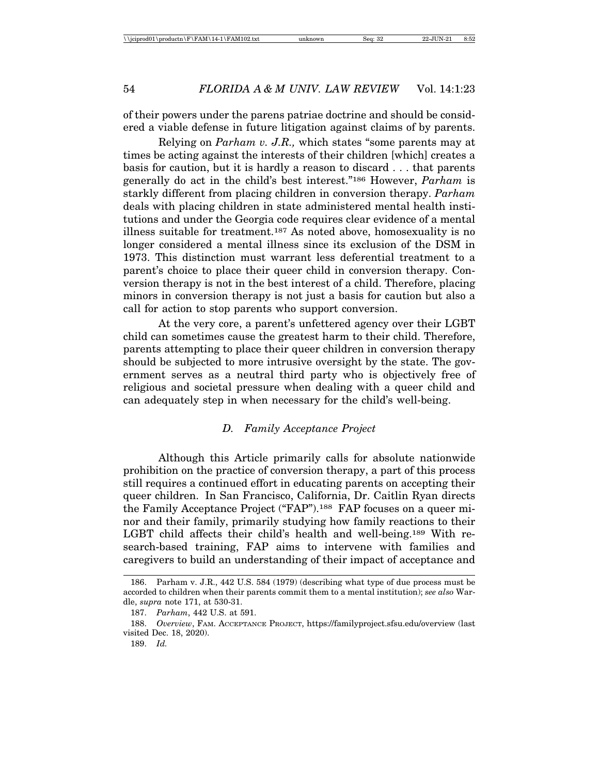of their powers under the parens patriae doctrine and should be considered a viable defense in future litigation against claims of by parents.

Relying on *Parham v. J.R.,* which states "some parents may at times be acting against the interests of their children [which] creates a basis for caution, but it is hardly a reason to discard . . . that parents generally do act in the child's best interest."186 However, *Parham* is starkly different from placing children in conversion therapy. *Parham* deals with placing children in state administered mental health institutions and under the Georgia code requires clear evidence of a mental illness suitable for treatment.187 As noted above, homosexuality is no longer considered a mental illness since its exclusion of the DSM in 1973. This distinction must warrant less deferential treatment to a parent's choice to place their queer child in conversion therapy. Conversion therapy is not in the best interest of a child. Therefore, placing minors in conversion therapy is not just a basis for caution but also a call for action to stop parents who support conversion.

At the very core, a parent's unfettered agency over their LGBT child can sometimes cause the greatest harm to their child. Therefore, parents attempting to place their queer children in conversion therapy should be subjected to more intrusive oversight by the state. The government serves as a neutral third party who is objectively free of religious and societal pressure when dealing with a queer child and can adequately step in when necessary for the child's well-being.

## *D. Family Acceptance Project*

Although this Article primarily calls for absolute nationwide prohibition on the practice of conversion therapy, a part of this process still requires a continued effort in educating parents on accepting their queer children. In San Francisco, California, Dr. Caitlin Ryan directs the Family Acceptance Project ("FAP").<sup>188</sup> FAP focuses on a queer minor and their family, primarily studying how family reactions to their LGBT child affects their child's health and well-being.<sup>189</sup> With research-based training, FAP aims to intervene with families and caregivers to build an understanding of their impact of acceptance and

<sup>186.</sup> Parham v. J.R., 442 U.S. 584 (1979) (describing what type of due process must be accorded to children when their parents commit them to a mental institution); *see also* Wardle, *supra* note 171, at 530-31.

<sup>187.</sup> *Parham*, 442 U.S. at 591.

<sup>188.</sup> *Overview*, FAM. ACCEPTANCE PROJECT, https://familyproject.sfsu.edu/overview (last visited Dec. 18, 2020).

<sup>189.</sup> *Id.*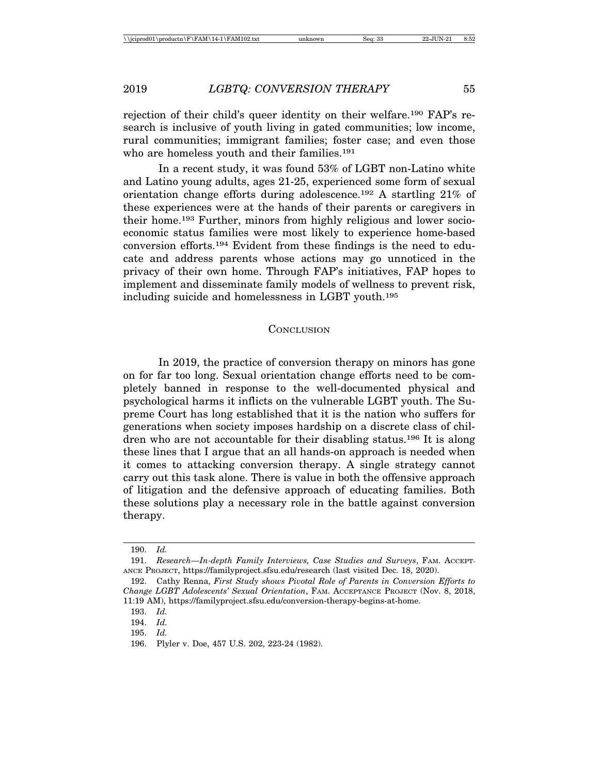rejection of their child's queer identity on their welfare.190 FAP's research is inclusive of youth living in gated communities; low income, rural communities; immigrant families; foster case; and even those who are homeless youth and their families.<sup>191</sup>

In a recent study, it was found 53% of LGBT non-Latino white and Latino young adults, ages 21-25, experienced some form of sexual orientation change efforts during adolescence.192 A startling 21% of these experiences were at the hands of their parents or caregivers in their home.193 Further, minors from highly religious and lower socioeconomic status families were most likely to experience home-based conversion efforts.194 Evident from these findings is the need to educate and address parents whose actions may go unnoticed in the privacy of their own home. Through FAP's initiatives, FAP hopes to implement and disseminate family models of wellness to prevent risk, including suicide and homelessness in LGBT youth.195

#### **CONCLUSION**

In 2019, the practice of conversion therapy on minors has gone on for far too long. Sexual orientation change efforts need to be completely banned in response to the well-documented physical and psychological harms it inflicts on the vulnerable LGBT youth. The Supreme Court has long established that it is the nation who suffers for generations when society imposes hardship on a discrete class of children who are not accountable for their disabling status.196 It is along these lines that I argue that an all hands-on approach is needed when it comes to attacking conversion therapy. A single strategy cannot carry out this task alone. There is value in both the offensive approach of litigation and the defensive approach of educating families. Both these solutions play a necessary role in the battle against conversion therapy.

<sup>190.</sup> *Id.*

<sup>191.</sup> *Research—In-depth Family Interviews, Case Studies and Surveys*, FAM. ACCEPT-ANCE PROJECT, https://familyproject.sfsu.edu/research (last visited Dec. 18, 2020).

<sup>192.</sup> Cathy Renna, *First Study shows Pivotal Role of Parents in Conversion Efforts to Change LGBT Adolescents' Sexual Orientation*, FAM. ACCEPTANCE PROJECT (Nov. 8, 2018, 11:19 AM), https://familyproject.sfsu.edu/conversion-therapy-begins-at-home.

<sup>193.</sup> *Id.*

<sup>194.</sup> *Id.*

<sup>195.</sup> *Id.*

<sup>196.</sup> Plyler v. Doe, 457 U.S. 202, 223-24 (1982).